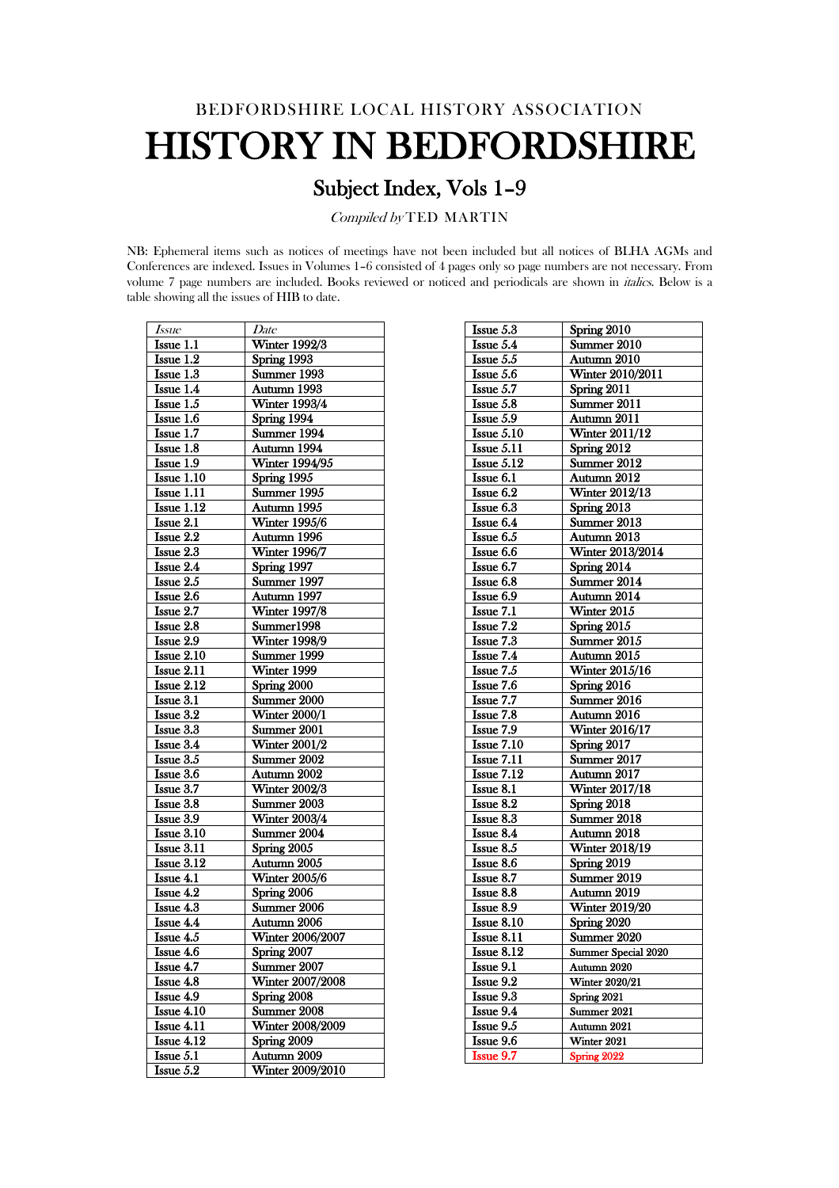# BEDFORDSHIRE LOCAL HISTORY ASSOCIATION HISTORY IN BEDFORDSHIRE

# Subject Index, Vols 1–9

Compiled by TED MARTIN

NB: Ephemeral items such as notices of meetings have not been included but all notices of BLHA AGMs and Conferences are indexed. Issues in Volumes 1–6 consisted of 4 pages only so page numbers are not necessary. From volume 7 page numbers are included. Books reviewed or noticed and periodicals are shown in italics. Below is a table showing all the issues of HIB to date.

| Issue                   | Date                    |
|-------------------------|-------------------------|
| Issue 1.1               | <b>Winter 1992/3</b>    |
| Issue 1.2               | Spring 1993             |
| Issue 1.3               | Summer 1993             |
| Issue 1.4               | Autumn 1993             |
| Issue 1.5               | <b>Winter 1993/4</b>    |
| Issue 1.6               | Spring 1994             |
| Issue 1.7               | Summer 1994             |
| Issue 1.8               | Autumn 1994             |
| Issue 1.9               | Winter 1994/95          |
| Issue 1.10              | Spring 1995             |
| Issue 1.11              | Summer 1995             |
| Issue 1.12              | Autumn 1995             |
| Issue 2.1               | <b>Winter 1995/6</b>    |
| Issue 2.2               | Autumn 1996             |
| Issue 2.3               | <b>Winter 1996/7</b>    |
| Issue 2.4               | Spring 1997             |
| Issue 2.5               | Summer 1997             |
| Issue 2.6               | Autumn 1997             |
| Issue 2.7               | <b>Winter 1997/8</b>    |
| Issue 2.8               | Summer1998              |
| Issue 2.9               | Winter 1998/9           |
| Issue 2.10              | Summer 1999             |
| Issue 2.11              | Winter 1999             |
| Issue $2.\overline{12}$ | Spring 2000             |
| Issue 3.1               | Summer 2000             |
| Issue 3.2               | Winter 2000/1           |
| Issue 3.3               | Summer 2001             |
| Issue $3.\overline{4}$  | <b>Winter 2001/2</b>    |
| Issue 3.5               | Summer 2002             |
| Issue 3.6               | Autumn 2002             |
| Issue 3.7               | <b>Winter 2002/3</b>    |
| Issue 3.8               | Summer 2003             |
| Issue 3.9               | <b>Winter 2003/4</b>    |
| Issue 3.10              | Summer 2004             |
| Issue 3.11              | Spring 2005             |
| Issue $3.\overline{12}$ | Autumn 2005             |
| Issue 4.1               | <b>Winter 2005/6</b>    |
| Issue 4.2               | Spring 2006             |
| Issue 4.3               | Summer 2006             |
| Issue 4.4               | Autumn 2006             |
| Issue 4.5               | Winter 2006/2007        |
| <b>Issue 4.6</b>        | Spring 2007             |
| <b>Issue 4.7</b>        | Summer 2007             |
| Issue 4.8               | Winter 2007/2008        |
| Issue 4.9               | Spring 2008             |
| <b>Issue 4.10</b>       | Summer 2008             |
| <b>Issue 4.11</b>       | Winter 2008/2009        |
| Issue 4.12              | Spring 2009             |
| Issue 5.1               | Autumn 2009             |
| Issue 5.2               | <b>Winter 2009/2010</b> |

| <b>Issue</b> $5.3$               | Spring $2010$              |
|----------------------------------|----------------------------|
| Issue $5.4$                      | Summer $2010$              |
| Issue 5.5                        | Autumn 2010                |
| Issue 5.6                        | Winter 2010/2011           |
| Issue 5.7                        | Spring 2011                |
| $\overline{\text{Issue } 5.8}$   | Summer $2011$              |
| Issue 5.9                        | Autumn 2011                |
| Issue 5.10                       | Winter 2011/12             |
| Isue 5.11                        | Spring 2012                |
| Isue 5.12                        | Summer 2012                |
| Issue 6.1                        | Autumn 2012                |
| Issue 6.2                        | Winter $2012\sqrt{13}$     |
| $\overline{\textbf{I}}$ ssue 6.3 | Spring 2013                |
| Issue 6.4                        | Summer $2013$              |
| Issue 6.5                        | Autumn 2013                |
| Issue 6.6                        | Winter 2013/2014           |
| $\overline{\text{I}}$ ssue 6.7   | Spring 2014                |
| Issue 6.8                        | Summer 2014                |
| Issue 6.9                        | Autumn 2014                |
| <b>Issue 7.1</b>                 | Winter 2015                |
|                                  | Spring 2015                |
| Issue 7.2<br>Is sue 7.3          | Summer 2015                |
|                                  |                            |
| Issue 7.4                        | Autumn 2015                |
| Issue 7.5                        | Winter 2015/16             |
| Issue 7.6                        | Spring 2016                |
| Issue $7.7$                      | Summer 2016                |
| Issue 7.8                        | Autumn 2016                |
| <b>Issue 7.9</b>                 | Winter 2016/17             |
| <b>Issue 7.10</b>                | Spring 2017                |
| Issue 7.11                       | Summer 2017                |
| <b>Issue 7.12</b>                | Autumn 2017                |
| <b>Issue 8.1</b>                 | Winter 2017/18             |
| Issue 8.2                        | Spring 2018                |
| Issue $8.\overline{3}$           | Summer 2018                |
| Issue 8.4                        | Autumn 2018                |
| <b>Issue 8.5</b>                 | <b>Winter 2018/19</b>      |
| Issue 8.6                        | Spring 2019                |
| Issue 8.7                        | Summer 2019                |
| Issue 8.8                        | Autumn 2019                |
| <b>Issue 8.9</b>                 | <b>Winter 2019/20</b>      |
| Issue 8.10                       | Spring 2020                |
| Issue 8.11                       | Summer 2020                |
| Issue $8.12$                     | <b>Summer Special 2020</b> |
| <b>Issue 9.1</b>                 | Autumn 2020                |
| <b>Issue 9.2</b>                 | <b>Winter 2020/21</b>      |
| Issue 9.3                        | Spring 2021                |
| Issue 9.4                        | Summer 2021                |
| <b>Issue 9.5</b>                 | Autumn 2021                |
| <b>Issue 9.6</b>                 | Winter 2021                |
| Issue 9.7                        | Spring 2022                |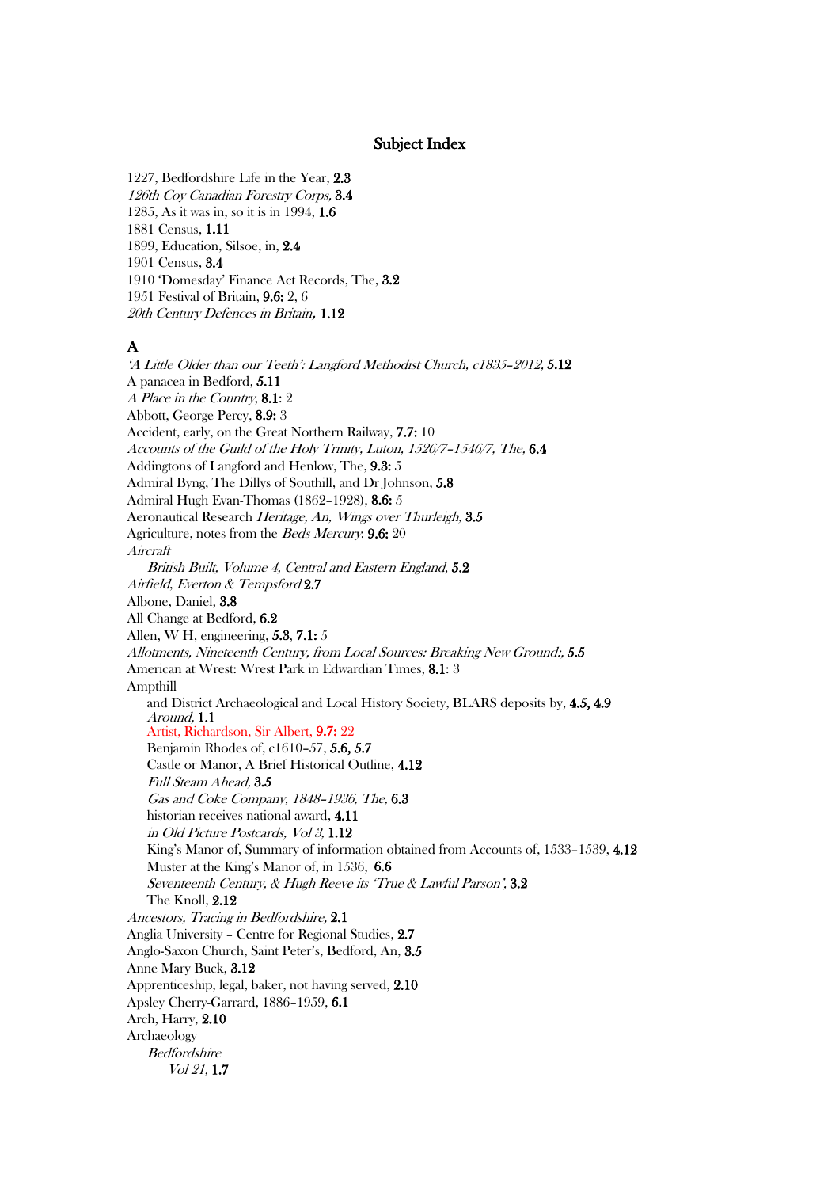#### Subject Index

1227, Bedfordshire Life in the Year, 2.3 126th Coy Canadian Forestry Corps, 3.4 1285, As it was in, so it is in 1994, 1.6 1881 Census, 1.11 1899, Education, Silsoe, in, 2.4 1901 Census, 3.4 1910 'Domesday' Finance Act Records, The, 3.2 1951 Festival of Britain, 9.6: 2, 6 20th Century Defences in Britain, 1.12

#### A

'A Little Older than our Teeth': Langford Methodist Church, c1835–2012, 5.12 A panacea in Bedford, 5.11 A Place in the Country, 8.1: 2 Abbott, George Percy, 8.9: 3 Accident, early, on the Great Northern Railway, 7.7: 10 Accounts of the Guild of the Holy Trinity, Luton, 1526/7–1546/7, The, 6.4 Addingtons of Langford and Henlow, The, 9.3: 5 Admiral Byng, The Dillys of Southill, and Dr Johnson, 5.8 Admiral Hugh Evan-Thomas (1862–1928), 8.6: 5 Aeronautical Research Heritage, An, Wings over Thurleigh, 3.5 Agriculture, notes from the Beds Mercury: 9.6: 20 Aircraft British Built, Volume 4, Central and Eastern England, 5.2 Airfield, Everton & Tempsford 2.7 Albone, Daniel, 3.8 All Change at Bedford, 6.2 Allen, W H, engineering, 5.3, 7.1: 5 Allotments, Nineteenth Century, from Local Sources: Breaking New Ground:, 5.5 American at Wrest: Wrest Park in Edwardian Times, 8.1: 3 Ampthill and District Archaeological and Local History Society, BLARS deposits by, 4.5, 4.9<br>Around. 1.1 Artist, Richardson, Sir Albert, 9.7: 22 Benjamin Rhodes of, c1610–57, 5.6, 5.7 Castle or Manor, A Brief Historical Outline, 4.12 Full Steam Ahead, 3.5 Gas and Coke Company, 1848–1936, The, 6.3 historian receives national award, 4.11 in Old Picture Postcards, Vol 3, 1.12 King's Manor of, Summary of information obtained from Accounts of, 1533–1539, 4.12 Muster at the King's Manor of, in 1536, 6.6 Seventeenth Century, & Hugh Reeve its 'True & Lawful Parson', 3.2 The Knoll, 2.12 Ancestors, Tracing in Bedfordshire, 2.1 Anglia University – Centre for Regional Studies, 2.7 Anglo-Saxon Church, Saint Peter's, Bedford, An, 3.5 Anne Mary Buck, 3.12 Apprenticeship, legal, baker, not having served, 2.10 Apsley Cherry-Garrard, 1886–1959, 6.1 Arch, Harry, 2.10 Archaeology **Bedfordshire** Vol 21, 1.7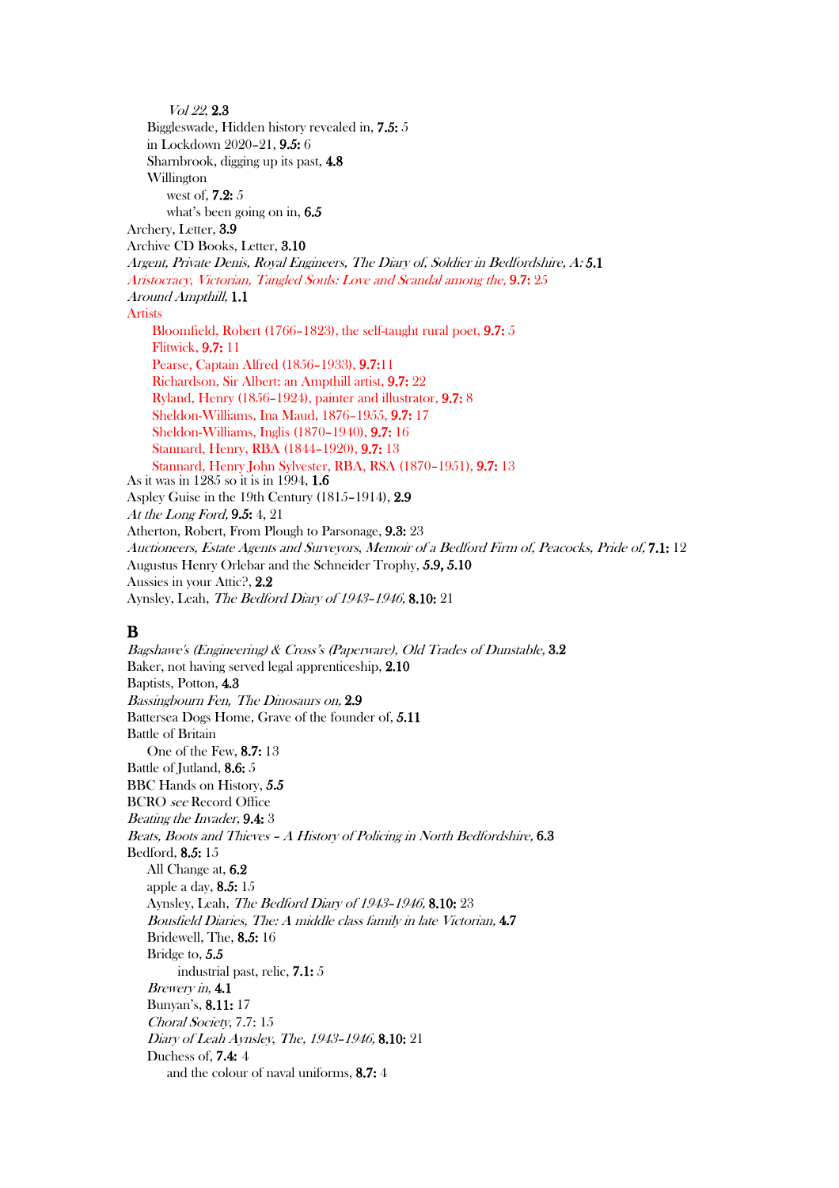Vol <sup>22</sup>, 2.3 Biggleswade, Hidden history revealed in, 7.5: 5 in Lockdown 2020–21, 9.5: 6 Sharnbrook, digging up its past, 4.8 Willington west of, 7.2: 5 what's been going on in, 6.5 Archery, Letter, 3.9 Archive CD Books, Letter, 3.10 Argent, Private Denis, Royal Engineers, The Diary of, Soldier in Bedfordshire, A: 5.1 Aristocracy, Victorian, Tangled Souls: Love and Scandal among the, 9.7: 25 Around Ampthill, 1.1 Artists Bloomfield, Robert (1766–1823), the self-taught rural poet, 9.7: 5 Flitwick, 9.7: 11 Pearse, Captain Alfred (1856–1933), 9.7:11 Richardson, Sir Albert: an Ampthill artist, 9.7: 22 Ryland, Henry (1856–1924), painter and illustrator, 9.7: 8 Sheldon-Williams, Ina Maud, 1876–1955, 9.7: 17 Sheldon-Williams, Inglis (1870–1940), 9.7: 16 Stannard, Henry, RBA (1844–1920), 9.7: 13 Stannard, Henry John Sylvester, RBA, RSA (1870–1951), 9.7: 13 As it was in 1285 so it is in 1994, 1.6 Aspley Guise in the 19th Century (1815–1914), 2.9 At the Long Ford, 9.5: 4, 21 Atherton, Robert, From Plough to Parsonage, 9.3: 23 Auctioneers, Estate Agents and Surveyors, Memoir of a Bedford Firm of, Peacocks, Pride of, 7.1: 12 Augustus Henry Orlebar and the Schneider Trophy, 5.9, 5.10 Aussies in your Attic?, 2.2 Aynsley, Leah, The Bedford Diary of 1943–1946, 8.10: 21

# B

Bagshawe's (Engineering) & Cross's (Paperware), Old Trades of Dunstable, 3.2 Baker, not having served legal apprenticeship, 2.10 Baptists, Potton, 4.3 Bassingbourn Fen*,* The Dinosaurs on, 2.9 Battersea Dogs Home, Grave of the founder of, 5.11 Battle of Britain One of the Few, 8.7: 13 Battle of Jutland, 8.6: 5 BBC Hands on History, 5.5 BCRO see Record Office Beating the Invader, 9.4: 3 Beats, Boots and Thieves – A History of Policing in North Bedfordshire, 6.3 Bedford, 8.5: 15 All Change at, 6.2 apple a day, 8.5: 15 Aynsley, Leah, The Bedford Diary of 1943–1946, 8.10: 23 Bousfield Diaries, The: A middle class family in late Victorian, 4.7 Bridewell, The, 8.5: 16 Bridge to, 5.5 industrial past, relic, 7.1: 5 Brewery in, 4.1 Bunyan's, 8.11: 17 Choral Society, 7.7: 15 Diary of Leah Aynsley, The, 1943–1946, 8.10: 21 Duchess of, 7.4: 4 and the colour of naval uniforms, 8.7: 4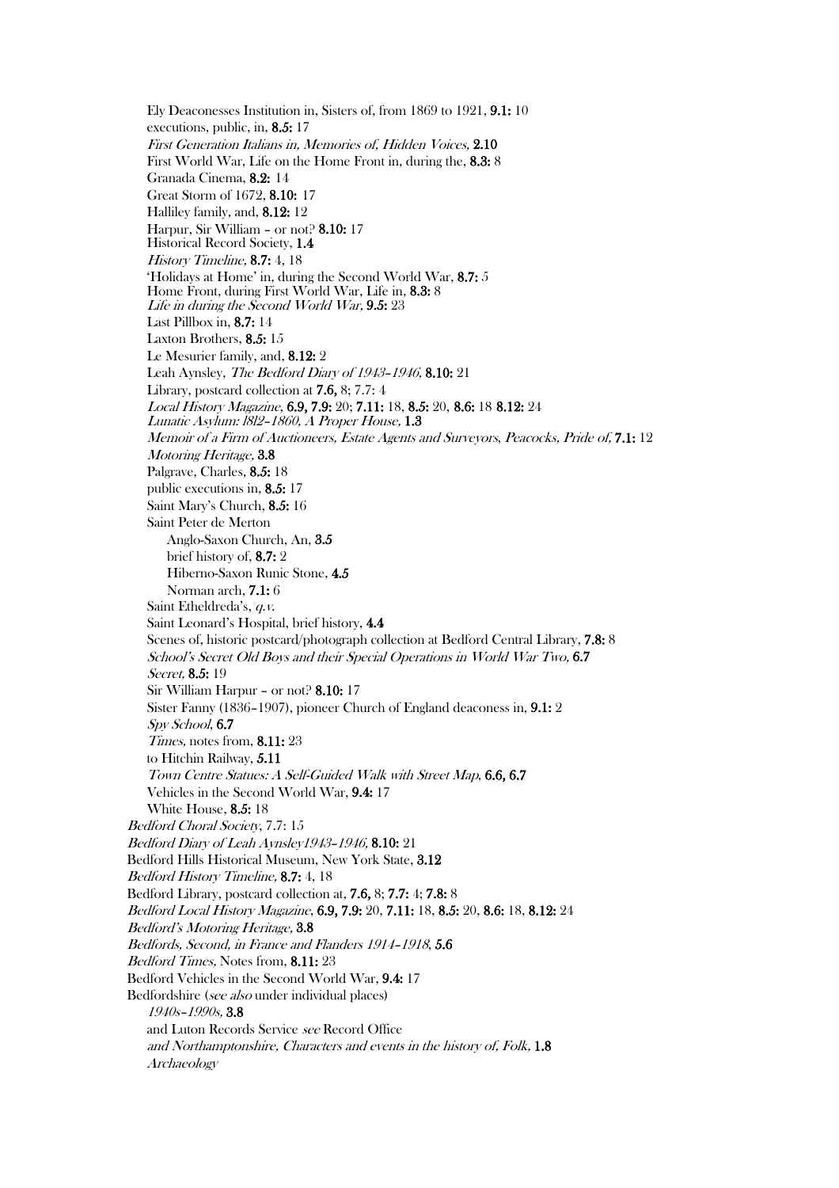Ely Deaconesses Institution in, Sisters of, from 1869 to 1921, 9.1: 10 executions, public, in, 8.5: 17 First Generation Italians in, Memories of, Hidden Voices, 2.10 First World War, Life on the Home Front in, during the, 8.3: 8 Granada Cinema, 8.2: 14 Great Storm of 1672, 8.10: 17 Halliley family, and, 8.12: 12 Harpur, Sir William – or not? 8.10: 17 Historical Record Society, 1.4 History Timeline, 8.7: 4, 18 'Holidays at Home' in, during the Second World War, 8.7: 5 Home Front, during First World War, Life in, 8.3: <sup>8</sup> Life in during the Second World War, 9.5: 23 Last Pillbox in, 8.7: 14 Laxton Brothers, 8.5: 15 Le Mesurier family, and, 8.12: 2 Leah Aynsley, The Bedford Diary of 1943–1946, 8.10: 21 Library, postcard collection at 7.6, 8; 7.7: 4 Local History Magazine, 6.9, 7.9: 20; 7.11: 18, 8.5: 20, 8.6: 18 8.12: 24 Lunatic Asylum: l8l2–1860, A Proper House, 1.3 Memoir of a Firm of Auctioneers, Estate Agents and Surveyors, Peacocks, Pride of, 7.1: 12 Motoring Heritage, 3.8 Palgrave, Charles, 8.5: 18 public executions in, 8.5: 17 Saint Mary's Church, 8.5: 16 Saint Peter de Merton Anglo-Saxon Church, An, 3.5 brief history of, 8.7: 2 Hiberno-Saxon Runic Stone, 4.5 Norman arch, 7.1: 6 Saint Etheldreda's, q.v. Saint Leonard's Hospital, brief history, 4.4 Scenes of, historic postcard/photograph collection at Bedford Central Library, 7.8: 8 School's Secret Old Boys and their Special Operations in World War Two, 6.7 Secret, **8.5**: 19 Sir William Harpur – or not? 8.10: 17 Sister Fanny (1836–1907), pioneer Church of England deaconess in, 9.1: 2 Spy School, 6.7 Times, notes from, 8.11: 23 to Hitchin Railway, 5.11 Town Centre Statues: A Self-Guided Walk with Street Map, 6.6, 6.7 Vehicles in the Second World War, 9.4: 17 White House, 8.5: 18 Bedford Choral Society, 7.7: 15 Bedford Diary of Leah Aynsley1943–1946, 8.10: 21 Bedford Hills Historical Museum, New York State, 3.12 Bedford History Timeline, 8.7: 4, 18 Bedford Library, postcard collection at, 7.6, 8; 7.7: 4; 7.8: 8 Bedford Local History Magazine, 6.9, 7.9: 20, 7.11: 18, 8.5: 20, 8.6: 18, 8.12: 24 Bedford's Motoring Heritage, 3.8 Bedfords, Second, in France and Flanders 1914–1918, 5.6 Bedford Times, Notes from, 8.11: 23 Bedford Vehicles in the Second World War, 9.4: 17 Bedfordshire (see also under individual places) 1940s–1990s, 3.8 and Luton Records Service see Record Office and Northamptonshire, Characters and events in the history of, Folk, 1.8 Archaeology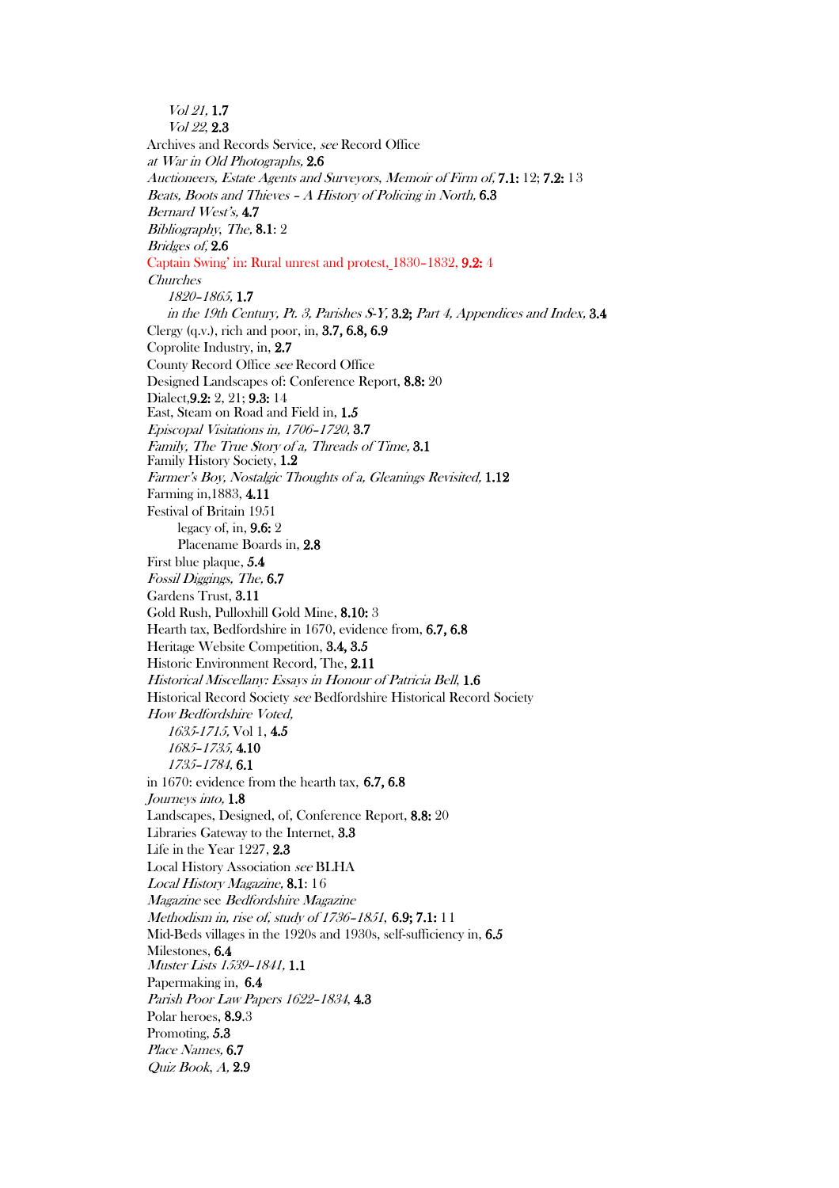Vol 21, 1.7 Vol <sup>22</sup>, 2.3 Archives and Records Service, see Record Office at War in Old Photographs, 2.6 Auctioneers, Estate Agents and Surveyors, Memoir of Firm of, 7.1: 12; 7.2: 13 Beats, Boots and Thieves – A History of Policing in North, 6.3 Bernard West's, 4.7 Bibliography, The, 8.1: 2 Bridges of, 2.6 Captain Swing' in: Rural unrest and protest, 1830–1832, 9.2: 4 Churches 1820–1865, 1.7 in the 19th Century, Pt. 3, Parishes S-Y, 3.2; Part 4, Appendices and Index, 3.4 Clergy (q.v.), rich and poor, in, 3.7, 6.8, 6.9 Coprolite Industry, in, 2.7 County Record Office see Record Office Designed Landscapes of: Conference Report, 8.8: 20 Dialect,9.2: 2, 21; 9.3: 14 East, Steam on Road and Field in, 1.5 Episcopal Visitations in, 1706–1720, 3.7 Family, The True Story of a, Threads of Time, 3.1 Family History Society, 1.2 Farmer's Boy, Nostalgic Thoughts of a, Gleanings Revisited, 1.12 Farming in,1883, 4.11 Festival of Britain 1951 legacy of, in, 9.6: 2 Placename Boards in, 2.8 First blue plaque, 5.4 Fossil Diggings, The, 6.7 Gardens Trust, 3.11 Gold Rush, Pulloxhill Gold Mine, 8.10: 3 Hearth tax, Bedfordshire in 1670, evidence from, 6.7, 6.8 Heritage Website Competition, 3.4, 3.5 Historic Environment Record, The, 2.11 Historical Miscellany: Essays in Honour of Patricia Bell, 1.6 Historical Record Society see Bedfordshire Historical Record Society How Bedfordshire Voted, 1635-1715, Vol 1, 4.5 1685–1735, 4.10 1735–1784, 6.1 in 1670: evidence from the hearth tax, 6.7, 6.8 Journeys into, 1.8 Landscapes, Designed, of, Conference Report, 8.8: 20 Libraries Gateway to the Internet, 3.3 Life in the Year 1227, 2.3 Local History Association see BLHA Local History Magazine, 8.1: 16 Magazine see Bedfordshire Magazine Methodism in, rise of, study of 1736–1851, 6.9; 7.1: 11 Mid-Beds villages in the 1920s and 1930s, self-sufficiency in, 6.5 Milestones, 6.4 Muster Lists 1539–1841, 1.1 Papermaking in, 6.4 Parish Poor Law Papers 1622–1834, 4.3 Polar heroes, 8.9.3 Promoting, 5.3 Place Names, 6.7 Quiz Book, A, 2.9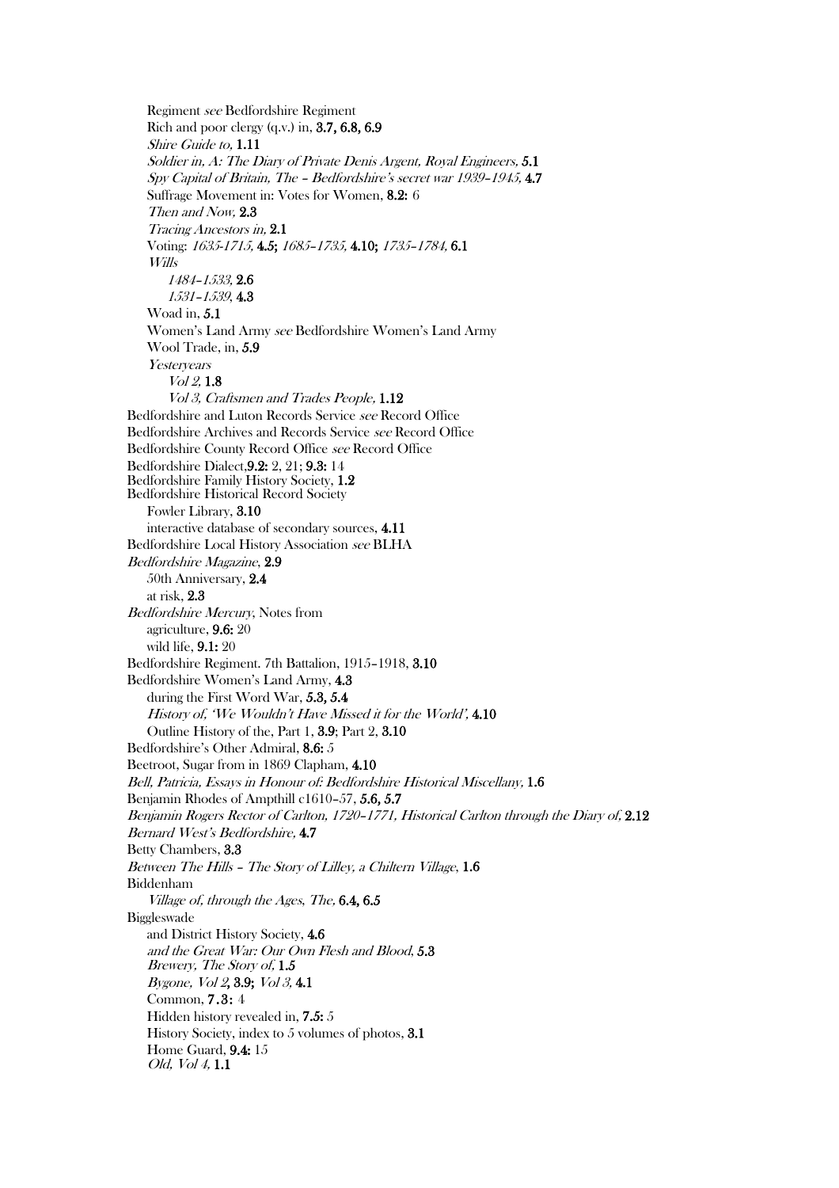Regiment see Bedfordshire Regiment Rich and poor clergy (q.v.) in, 3.7, 6.8, 6.9 Shire Guide to, 1.11 Soldier in, A: The Diary of Private Denis Argent, Royal Engineers, 5.1 Spy Capital of Britain, The – Bedfordshire's secret war 1939–1945, 4.7 Suffrage Movement in: Votes for Women, 8.2: 6 Then and Now, 2.3 Tracing Ancestors in, 2.1 Voting: 1635-1715, 4.5; 1685–1735, 4.10; 1735–1784, 6.1 Wills 1484–1533, 2.6 1531–1539, 4.3 Woad in, 5.1 Women's Land Army see Bedfordshire Women's Land Army Wool Trade, in, 5.9 Yesteryears Vol 2, 1.8 Vol 3, Craftsmen and Trades People, 1.12 Bedfordshire and Luton Records Service see Record Office Bedfordshire Archives and Records Service see Record Office Bedfordshire County Record Office see Record Office Bedfordshire Dialect,9.2: 2, 21; 9.3: 14 Bedfordshire Family History Society, 1.2 Bedfordshire Historical Record Society Fowler Library, 3.10 interactive database of secondary sources, 4.11 Bedfordshire Local History Association see BLHA Bedfordshire Magazine, 2.9 50th Anniversary, 2.4 at risk, 2.3 Bedfordshire Mercury, Notes from agriculture, 9.6: 20 wild life, 9.1: 20 Bedfordshire Regiment. 7th Battalion, 1915–1918, 3.10 Bedfordshire Women's Land Army, 4.3 during the First Word War, 5.3, 5.4 History of, 'We Wouldn't Have Missed it for the World', 4.10 Outline History of the, Part 1, 3.9; Part 2, 3.10 Bedfordshire's Other Admiral, 8.6: 5 Beetroot, Sugar from in 1869 Clapham, 4.10 Bell, Patricia, Essays in Honour of: Bedfordshire Historical Miscellany, 1.6 Benjamin Rhodes of Ampthill c1610–57, 5.6, 5.7 Benjamin Rogers Rector of Carlton, 1720–1771, Historical Carlton through the Diary of, 2.12 Bernard West's Bedfordshire, 4.7 Betty Chambers, 3.3 Between The Hills – The Story of Lilley, a Chiltern Village, 1.6 Biddenham Village of, through the Ages, The, 6.4, 6.5 Biggleswade and District History Society, 4.6 and the Great War: Our Own Flesh and Blood, 5.3 Brewery, The Story of, 1.5 Bygone, Vol 2, 3.9; Vol 3, 4.1 Common, 7.3: 4 Hidden history revealed in, 7.5: 5 History Society, index to 5 volumes of photos, 3.1 Home Guard, 9.4: 15 Old, Vol 4, 1.1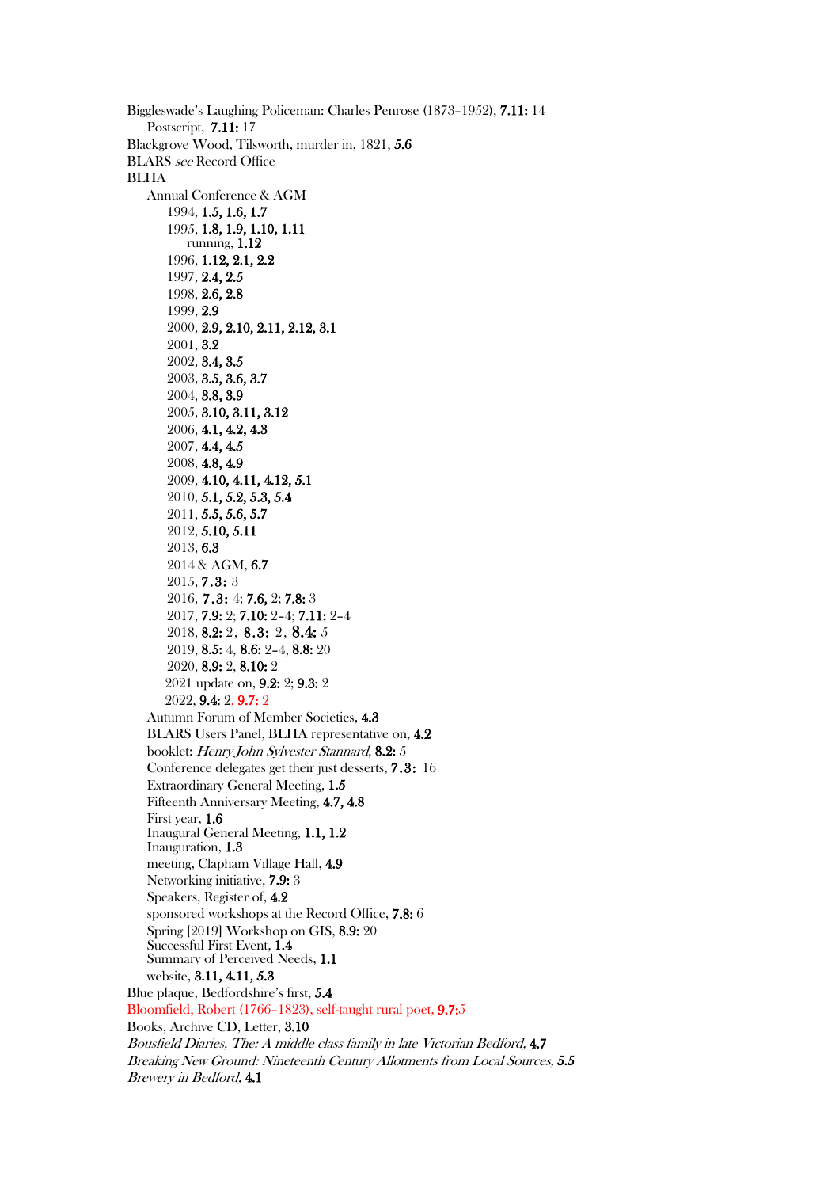Biggleswade's Laughing Policeman: Charles Penrose (1873–1952), 7.11: 14 Postscript, 7.11: 17 Blackgrove Wood, Tilsworth, murder in, 1821, 5.6 BLARS see Record Office BLHA Annual Conference & AGM 1994, 1.5, 1.6, 1.7 1995, 1.8, 1.9, 1.10, 1.11 running, 1.12 1996, 1.12, 2.1, 2.2 1997, 2.4, 2.5 1998, 2.6, 2.8 1999, 2.9 2000, 2.9, 2.10, 2.11, 2.12, 3.1 2001, 3.2 2002, 3.4, 3.5 2003, 3.5, 3.6, 3.7 2004, 3.8, 3.9 2005, 3.10, 3.11, 3.12 2006, 4.1, 4.2, 4.3 2007, 4.4, 4.5 2008, 4.8, 4.9 2009, 4.10, 4.11, 4.12, 5.1 2010, 5.1, 5.2, 5.3, 5.4 2011, 5.5, 5.6, 5.7 2012, 5.10, 5.11 2013, 6.3 2014 & AGM, 6.7 2015, 7.3: 3 2016, 7.3: 4; 7.6, 2; 7.8: 3 2017, 7.9: 2; 7.10: 2–4; 7.11: 2–4 2018, 8.2: 2, 8.3: 2, 8.4: 5 2019, 8.5: 4, 8.6: 2–4, 8.8: 20 2020, 8.9: 2, 8.10: 2 2021 update on, 9.2: 2; 9.3: 2 2022, 9.4: 2, 9.7: 2 Autumn Forum of Member Societies, 4.3 BLARS Users Panel, BLHA representative on, 4.2 booklet: Henry John Sylvester Stannard, 8.2: 5 Conference delegates get their just desserts, 7.3: 16 Extraordinary General Meeting, 1.5 Fifteenth Anniversary Meeting, 4.7, 4.8 First year, 1.6 Inaugural General Meeting, 1.1, 1.2 Inauguration, 1.3 meeting, Clapham Village Hall, 4.9 Networking initiative, 7.9: 3 Speakers, Register of, 4.2 sponsored workshops at the Record Office, 7.8: 6 Spring [2019] Workshop on GIS, 8.9: 20 Successful First Event, 1.4 Summary of Perceived Needs, 1.1 website, 3.11, 4.11, 5.3 Blue plaque, Bedfordshire's first, 5.4 Bloomfield, Robert (1766–1823), self-taught rural poet, 9.7:5 Books, Archive CD, Letter, 3.10 Bousfield Diaries, The: A middle class family in late Victorian Bedford, 4.7 Breaking New Ground: Nineteenth Century Allotments from Local Sources, 5.5 Brewery in Bedford, 4.1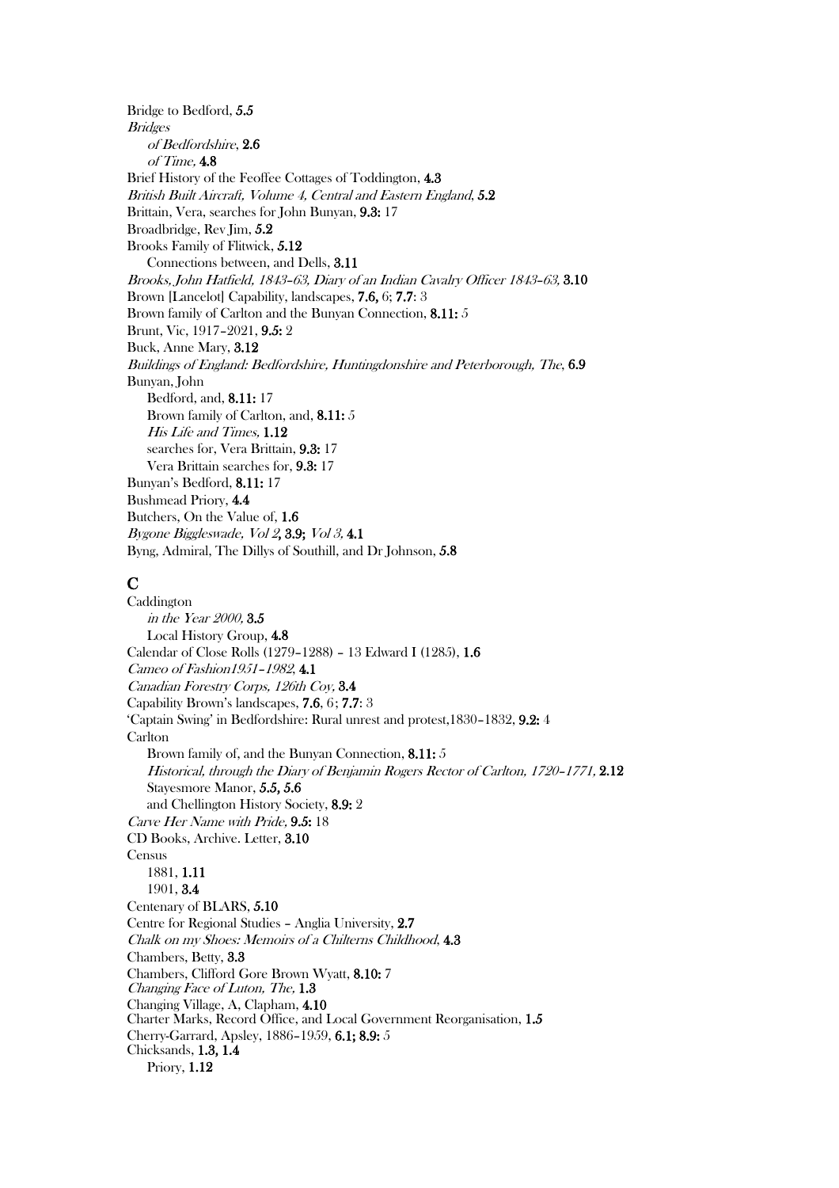Bridge to Bedford, 5.5 **Bridges** of Bedfordshire, 2.6 of Time, 4.8 Brief History of the Feoffee Cottages of Toddington, 4.3 British Built Aircraft, Volume 4, Central and Eastern England, 5.2 Brittain, Vera, searches for John Bunyan, 9.3: 17 Broadbridge, Rev Jim, 5.2 Brooks Family of Flitwick, 5.12 Connections between, and Dells, 3.11 Brooks, John Hatfield, 1843–63, Diary of an Indian Cavalry Officer 1843–63, 3.10 Brown [Lancelot] Capability, landscapes, 7.6, 6; 7.7: 3 Brown family of Carlton and the Bunyan Connection, 8.11: 5 Brunt, Vic, 1917–2021, 9.5: 2 Buck, Anne Mary, 3.12 Buildings of England: Bedfordshire, Huntingdonshire and Peterborough, The, 6.9 Bunyan, John Bedford, and, 8.11: 17 Brown family of Carlton, and, 8.11: 5 His Life and Times, 1.12 searches for, Vera Brittain, 9.3: 17 Vera Brittain searches for, 9.3: 17 Bunyan's Bedford, 8.11: 17 Bushmead Priory, 4.4 Butchers, On the Value of, 1.6 Bygone Biggleswade, Vol 2, 3.9; Vol 3, 4.1 Byng, Admiral, The Dillys of Southill, and Dr Johnson, 5.8

# $\bf C$

Caddington in the Year 2000, 3.5 Local History Group, 4.8 Calendar of Close Rolls (1279–1288) – 13 Edward I (1285), 1.6 Cameo of Fashion1951–1982, 4.1 Canadian Forestry Corps, 126th Coy, 3.4 Capability Brown's landscapes, 7.6, 6; 7.7: 3 'Captain Swing' in Bedfordshire: Rural unrest and protest,1830–1832, 9.2: 4 **Carlton** Brown family of, and the Bunyan Connection, 8.11: 5 Historical, through the Diary of Benjamin Rogers Rector of Carlton, 1720–1771, 2.12 Stayesmore Manor, 5.5, 5.6 and Chellington History Society, 8.9: 2 Carve Her Name with Pride, 9.5: 18 CD Books, Archive. Letter, 3.10 Census 1881, 1.11 1901, 3.4 Centenary of BLARS, 5.10 Centre for Regional Studies – Anglia University, 2.7 Chalk on my Shoes: Memoirs of a Chilterns Childhood, 4.3 Chambers, Betty, 3.3 Chambers, Clifford Gore Brown Wyatt, 8.10: 7 Changing Face of Luton, The, 1.3 Changing Village, A, Clapham, 4.10 Charter Marks, Record Office, and Local Government Reorganisation, 1.5 Cherry-Garrard, Apsley, 1886–1959, 6.1; 8.9: 5 Chicksands, 1.3, 1.4 Priory, 1.12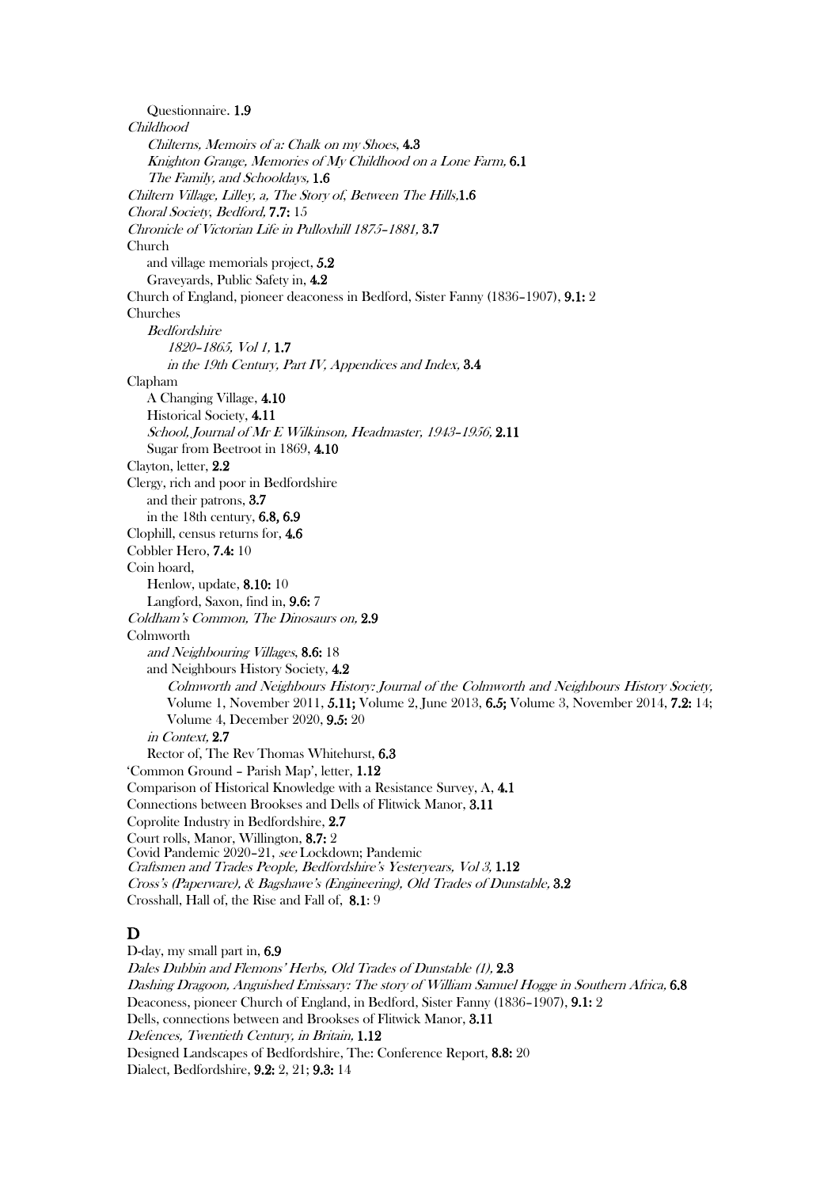Questionnaire. 1.9 Childhood Chilterns, Memoirs of a: Chalk on my Shoes, 4.3 Knighton Grange, Memories of My Childhood on a Lone Farm, 6.1 The Family, and Schooldays, 1.6 Chiltern Village, Lilley, a, The Story of, Between The Hills,1.6 Choral Society, Bedford, 7.7: 15 Chronicle of Victorian Life in Pulloxhill 1875–1881, 3.7 Church and village memorials project, 5.2 Graveyards, Public Safety in, 4.2 Church of England, pioneer deaconess in Bedford, Sister Fanny (1836–1907), 9.1: 2 Churches Bedfordshire 1820–1865, Vol 1, 1.7 in the 19th Century, Part IV, Appendices and Index, 3.4 Clapham A Changing Village, 4.10 Historical Society, 4.11 School, Journal of Mr E Wilkinson, Headmaster, 1943–1956, 2.11 Sugar from Beetroot in 1869, 4.10 Clayton, letter, 2.2 Clergy, rich and poor in Bedfordshire and their patrons, 3.7 in the 18th century, 6.8, 6.9 Clophill, census returns for, 4.6 Cobbler Hero, 7.4: 10 Coin hoard, Henlow, update, 8.10: 10 Langford, Saxon, find in, 9.6: 7 Coldham's Common, The Dinosaurs on, 2.9 Colmworth and Neighbouring Villages, 8.6: 18 and Neighbours History Society, 4.2 Colmworth and Neighbours History: Journal of the Colmworth and Neighbours History Society, Volume 1, November 2011, 5.11; Volume 2, June 2013, 6.5; Volume 3, November 2014, 7.2: 14; Volume 4, December 2020, 9.5: 20 in Context, 2.7 Rector of, The Rev Thomas Whitehurst, 6.3 'Common Ground – Parish Map', letter, 1.12 Comparison of Historical Knowledge with a Resistance Survey, A, 4.1 Connections between Brookses and Dells of Flitwick Manor, 3.11 Coprolite Industry in Bedfordshire, 2.7 Court rolls, Manor, Willington, 8.7: 2 Covid Pandemic 2020–21, see Lockdown; Pandemic Craftsmen and Trades People, Bedfordshire's Yesteryears, Vol 3, 1.12 Cross's (Paperware), & Bagshawe's (Engineering), Old Trades of Dunstable, 3.2 Crosshall, Hall of, the Rise and Fall of, 8.1: 9 D D-day, my small part in, 6.9 Dales Dubbin and Flemons' Herbs, Old Trades of Dunstable (1), 2.3 Dashing Dragoon, Anguished Emissary: The story of William Samuel Hogge in Southern Africa, 6.8

Deaconess, pioneer Church of England, in Bedford, Sister Fanny (1836–1907), 9.1: 2

Dells, connections between and Brookses of Flitwick Manor, 3.11

Defences, Twentieth Century, in Britain, 1.12

Designed Landscapes of Bedfordshire, The: Conference Report, 8.8: 20

Dialect, Bedfordshire, 9.2: 2, 21; 9.3: 14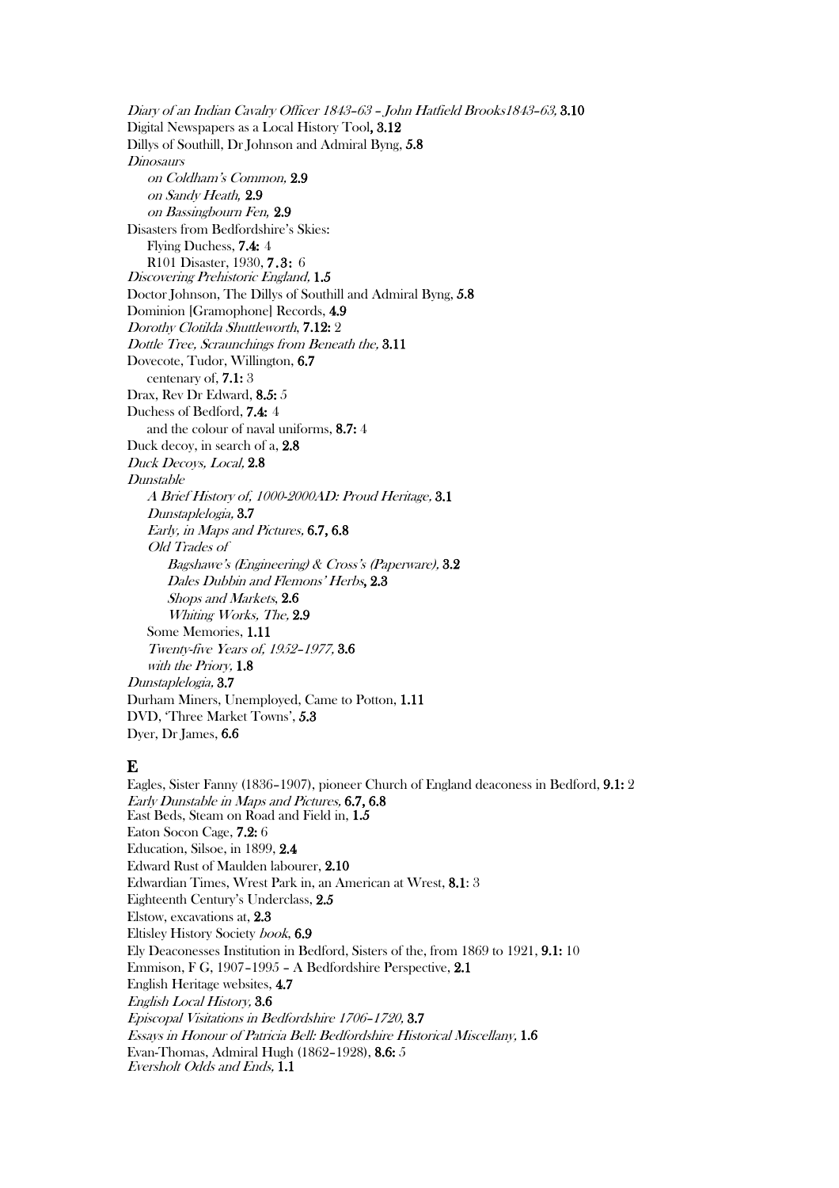Diary of an Indian Cavalry Officer 1843–63 – John Hatfield Brooks1843–63, 3.10 Digital Newspapers as a Local History Tool, 3.12 Dillys of Southill, Dr Johnson and Admiral Byng, 5.8 **Dinosaurs** on Coldham's Common, 2.9 on Sandy Heath*,* 2.9 on Bassingbourn Fen*,* 2.9 Disasters from Bedfordshire's Skies: Flying Duchess, 7.4: 4 R101 Disaster, 1930, 7.3: 6 Discovering Prehistoric England, 1.5 Doctor Johnson, The Dillys of Southill and Admiral Byng, 5.8 Dominion [Gramophone] Records, 4.9 Dorothy Clotilda Shuttleworth, 7.12: 2 Dottle Tree, Scraunchings from Beneath the, 3.11 Dovecote, Tudor, Willington, 6.7 centenary of, 7.1: 3 Drax, Rev Dr Edward, 8.5: 5 Duchess of Bedford, 7.4: 4 and the colour of naval uniforms, 8.7: 4 Duck decoy, in search of a, 2.8 Duck Decoys, Local, 2.8 Dunstable A Brief History of, 1000-2000AD: Proud Heritage, 3.1 Dunstaplelogia, 3.7 Early, in Maps and Pictures, 6.7, 6.8 Old Trades of Bagshawe's (Engineering) & Cross's (Paperware), 3.2 Dales Dubbin and Flemons' Herbs, 2.3 Shops and Markets, 2.6 Whiting Works, The, 2.9 Some Memories, 1.11 Twenty-five Years of, 1952–1977, 3.6 with the Priory, 1.8 Dunstaplelogia, 3.7 Durham Miners, Unemployed, Came to Potton, 1.11 DVD, 'Three Market Towns', 5.3 Dyer, Dr James, 6.6

#### E

Eagles, Sister Fanny (1836–1907), pioneer Church of England deaconess in Bedford, 9.1: 2 Early Dunstable in Maps and Pictures, 6.7, 6.8 East Beds, Steam on Road and Field in, 1.5 Eaton Socon Cage, 7.2: 6 Education, Silsoe, in 1899, 2.4 Edward Rust of Maulden labourer, 2.10 Edwardian Times, Wrest Park in, an American at Wrest, 8.1: 3 Eighteenth Century's Underclass, 2.5 Elstow, excavations at, 2.3 Eltisley History Society book, 6.9 Ely Deaconesses Institution in Bedford, Sisters of the, from 1869 to 1921, 9.1: 10 Emmison, F G, 1907–1995 – A Bedfordshire Perspective, 2.1 English Heritage websites, 4.7 English Local History, 3.6 Episcopal Visitations in Bedfordshire 1706–1720, 3.7 Essays in Honour of Patricia Bell: Bedfordshire Historical Miscellany, 1.6 Evan-Thomas, Admiral Hugh (1862–1928), 8.6: 5 Eversholt Odds and Ends, 1.1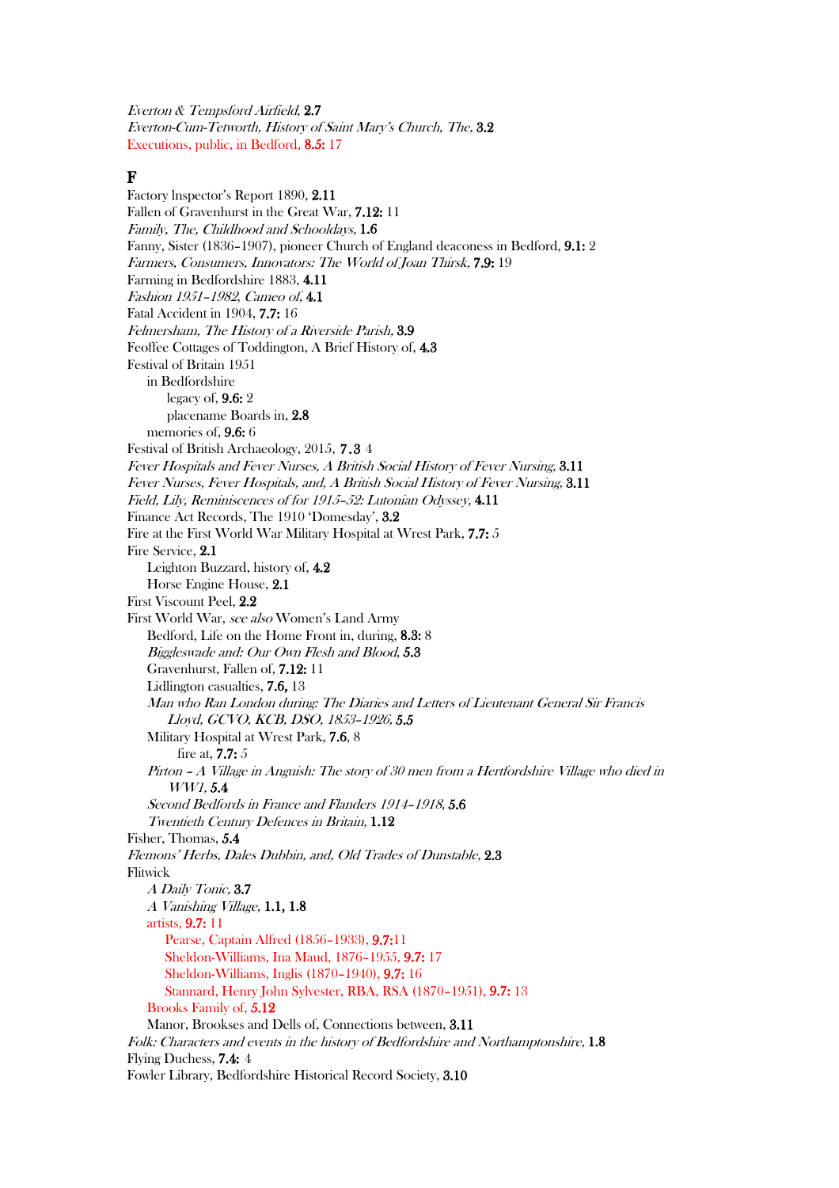Everton & Tempsford Airfield, 2.7 Everton-Cum-Tetworth, History of Saint Mary's Church, The, 3.2 Executions, public, in Bedford, 8.5: 17

#### F

Factory lnspector's Report 1890, 2.11 Fallen of Gravenhurst in the Great War, 7.12: 11 Family, The, Childhood and Schooldays, 1.6 Fanny, Sister (1836–1907), pioneer Church of England deaconess in Bedford, 9.1: 2 Farmers, Consumers, Innovators: The World of Joan Thirsk, 7.9: 19 Farming in Bedfordshire 1883, 4.11 Fashion 1951–1982, Cameo of, 4.1 Fatal Accident in 1904, 7.7: 16 Felmersham, The History of a Riverside Parish, 3.9 Feoffee Cottages of Toddington, A Brief History of, 4.3 Festival of Britain 1951 in Bedfordshire legacy of, 9.6: 2 placename Boards in, 2.8 memories of, 9.6: 6 Festival of British Archaeology, 2015, 7.3 4 Fever Hospitals and Fever Nurses, A British Social History of Fever Nursing, 3.11 Fever Nurses, Fever Hospitals, and, A British Social History of Fever Nursing, 3.11 Field, Lily, Reminiscences of for 1915–52: Lutonian Odyssey, 4.11 Finance Act Records, The 1910 'Domesday', 3.2 Fire at the First World War Military Hospital at Wrest Park, 7.7: 5 Fire Service, 2.1 Leighton Buzzard, history of, 4.2 Horse Engine House, 2.1 First Viscount Peel, 2.2 First World War, see also Women's Land Army Bedford, Life on the Home Front in, during, 8.3: 8 Biggleswade and: Our Own Flesh and Blood, 5.3 Gravenhurst, Fallen of, 7.12: 11 Lidlington casualties, 7.6, 13 Man who Ran London during: The Diaries and Letters of Lieutenant General Sir Francis Lloyd, GCVO, KCB, DSO, 1853–1926, 5.5 Military Hospital at Wrest Park, 7.6, 8 fire at, 7.7: 5 Pirton – A Village in Anguish: The story of 30 men from a Hertfordshire Village who died in WW1, 5.4 Second Bedfords in France and Flanders 1914–1918, 5.6 Twentieth Century Defences in Britain, 1.12 Fisher, Thomas, 5.4 Flemons' Herbs, Dales Dubbin, and, Old Trades of Dunstable, 2.3 Flitwick A Daily Tonic, 3.7 <sup>A</sup> Vanishing Village, 1.1, 1.8 artists, 9.7: 11 Pearse, Captain Alfred (1856–1933), 9.7:11 Sheldon-Williams, Ina Maud, 1876–1955, 9.7: 17 Sheldon-Williams, Inglis (1870–1940), 9.7: 16 Stannard, Henry John Sylvester, RBA, RSA (1870–1951), 9.7: 13 Brooks Family of, 5.12 Manor, Brookses and Dells of, Connections between, 3.11 Folk: Characters and events in the history of Bedfordshire and Northamptonshire, 1.8 Flying Duchess, 7.4: 4 Fowler Library, Bedfordshire Historical Record Society, 3.10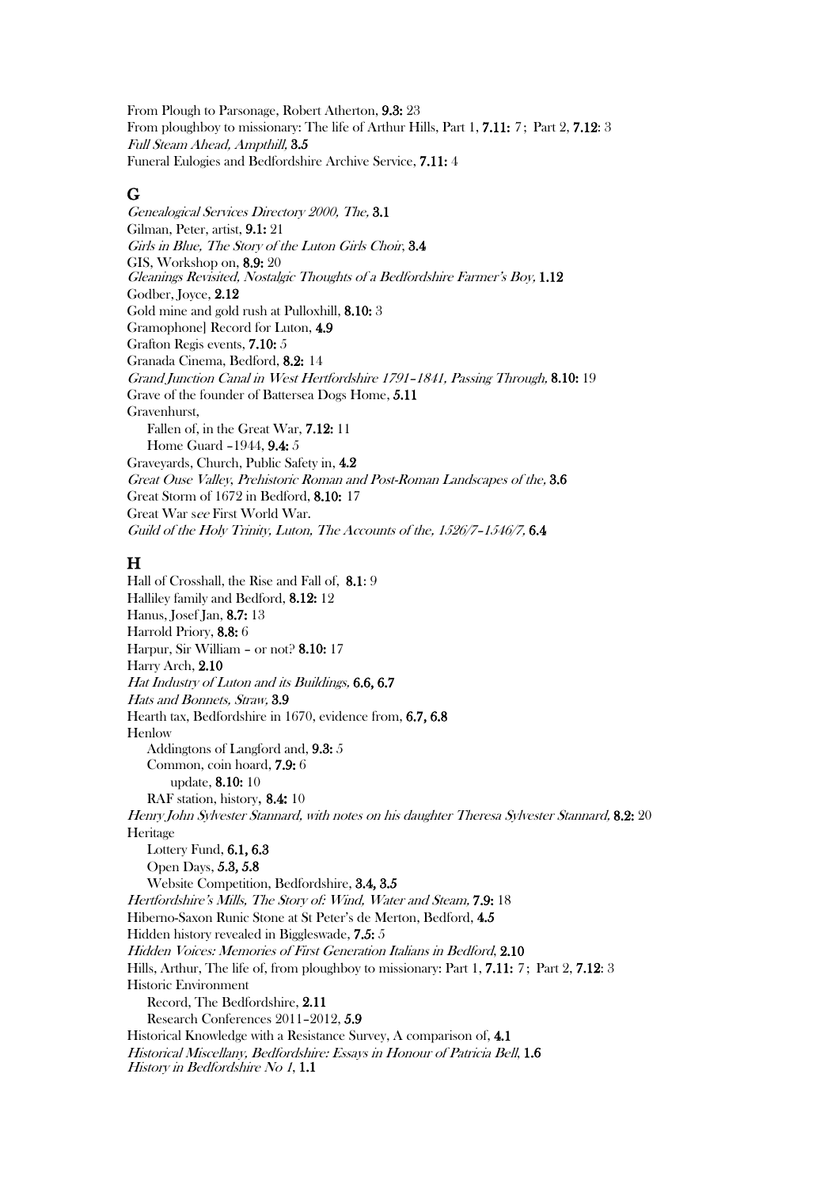From Plough to Parsonage, Robert Atherton, 9.3: 23 From ploughboy to missionary: The life of Arthur Hills, Part 1, 7.11: 7; Part 2, 7.12: 3 Full Steam Ahead, Ampthill, 3.5 Funeral Eulogies and Bedfordshire Archive Service, 7.11: 4

#### G

Genealogical Services Directory 2000, The, 3.1 Gilman, Peter, artist, 9.1: 21 Girls in Blue, The Story of the Luton Girls Choir, 3.4 GIS, Workshop on, 8.9: 20 Gleanings Revisited, Nostalgic Thoughts of a Bedfordshire Farmer's Boy, 1.12 Godber, Joyce, 2.12 Gold mine and gold rush at Pulloxhill, 8.10: 3 Gramophone] Record for Luton, 4.9 Grafton Regis events, 7.10: 5 Granada Cinema, Bedford, 8.2: 14 Grand Junction Canal in West Hertfordshire 1791–1841, Passing Through, 8.10: 19 Grave of the founder of Battersea Dogs Home, 5.11 Gravenhurst, Fallen of, in the Great War, 7.12: 11 Home Guard –1944, 9.4: 5 Graveyards, Church, Public Safety in, 4.2 Great Ouse Valley, Prehistoric Roman and Post-Roman Landscapes of the, 3.6 Great Storm of 1672 in Bedford, 8.10: 17 Great War see First World War. Guild of the Holy Trinity, Luton, The Accounts of the, 1526/7–1546/7, 6.4

#### H

Hall of Crosshall, the Rise and Fall of, 8.1: 9 Halliley family and Bedford, 8.12: 12 Hanus, Josef Jan, 8.7: 13 Harrold Priory, 8.8: 6 Harpur, Sir William – or not? 8.10: 17 Harry Arch, 2.10 Hat Industry of Luton and its Buildings, 6.6, 6.7 Hats and Bonnets, Straw, 3.9 Hearth tax, Bedfordshire in 1670, evidence from, 6.7, 6.8 Henlow Addingtons of Langford and, 9.3: 5 Common, coin hoard, 7.9: 6 update, 8.10: 10 RAF station, history, 8.4: 10 Henry John Sylvester Stannard, with notes on his daughter Theresa Sylvester Stannard, 8.2: 20 **Heritage** Lottery Fund, 6.1, 6.3 Open Days, 5.3, 5.8 Website Competition, Bedfordshire, 3.4, 3.5 Hertfordshire's Mills, The Story of: Wind, Water and Steam, 7.9: 18 Hiberno-Saxon Runic Stone at St Peter's de Merton, Bedford, 4.5 Hidden history revealed in Biggleswade, 7.5: 5 Hidden Voices: Memories of First Generation Italians in Bedford, 2.10 Hills, Arthur, The life of, from ploughboy to missionary: Part 1, 7.11: 7; Part 2, 7.12: 3 Historic Environment Record, The Bedfordshire, 2.11 Research Conferences 2011–2012, 5.9 Historical Knowledge with a Resistance Survey, A comparison of, 4.1 Historical Miscellany, Bedfordshire: Essays in Honour of Patricia Bell, 1.6 History in Bedfordshire No 1, 1.1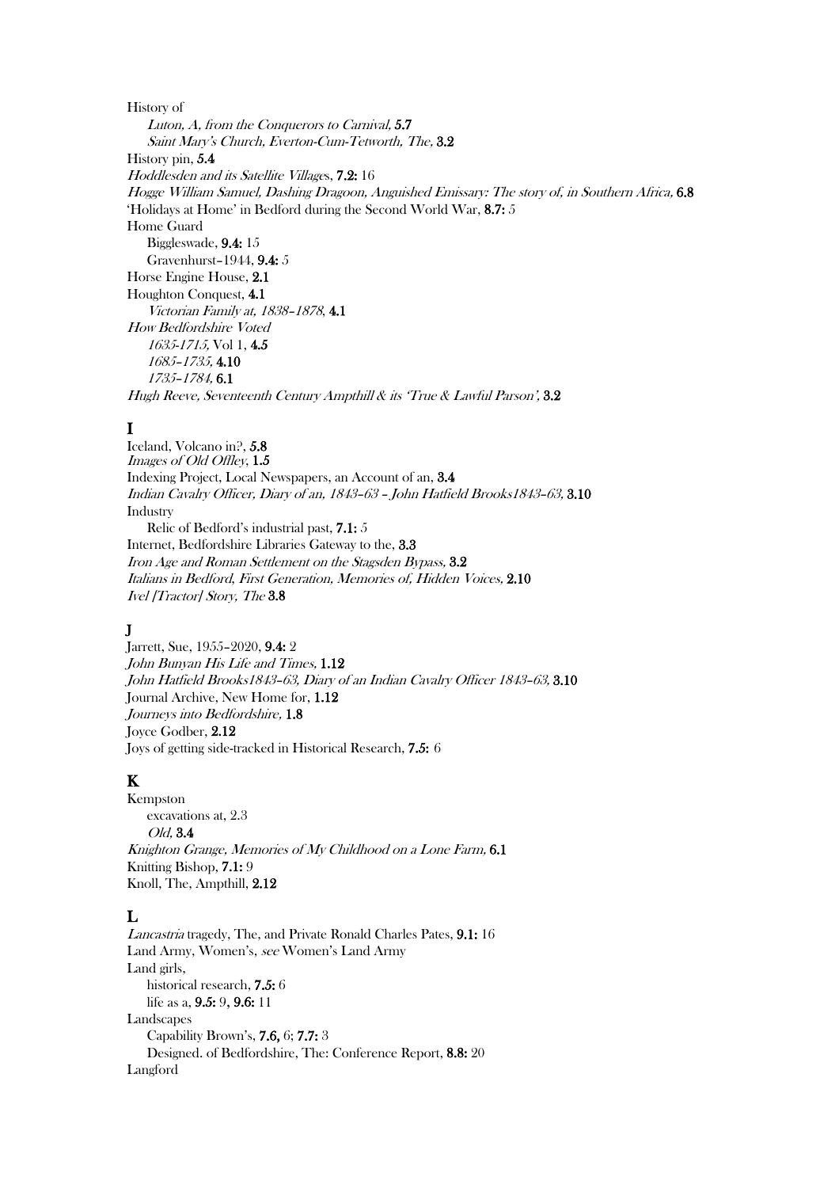History of Luton, A, from the Conquerors to Carnival, 5.7 Saint Mary's Church, Everton-Cum-Tetworth, The, 3.2 History pin, 5.4 Hoddlesden and its Satellite Villages, 7.2: 16 Hogge William Samuel, Dashing Dragoon, Anguished Emissary: The story of, in Southern Africa, 6.8 'Holidays at Home' in Bedford during the Second World War, 8.7: 5 Home Guard Biggleswade, 9.4: 15 Gravenhurst–1944, 9.4: 5 Horse Engine House, 2.1 Houghton Conquest, 4.1 Victorian Family at, 1838–1878, 4.1 How Bedfordshire Voted 1635-1715, Vol 1, 4.5 1685–1735, 4.10 1735–1784, 6.1 Hugh Reeve, Seventeenth Century Ampthill & its 'True & Lawful Parson', 3.2

### I

Iceland, Volcano in?, 5.8 Images of Old Offley, 1.5 Indexing Project, Local Newspapers, an Account of an, 3.4 Indian Cavalry Officer, Diary of an, 1843–63 – John Hatfield Brooks1843–63, 3.10 Industry Relic of Bedford's industrial past, 7.1: 5 Internet, Bedfordshire Libraries Gateway to the, 3.3 Iron Age and Roman Settlement on the Stagsden Bypass, 3.2 Italians in Bedford, First Generation, Memories of, Hidden Voices, 2.10 Ivel [Tractor] Story, The 3.8

# J

Jarrett, Sue, 1955–2020, 9.4: 2 John Bunyan His Life and Times, 1.12 John Hatfield Brooks1843–63, Diary of an Indian Cavalry Officer 1843–63, 3.10 Journal Archive, New Home for, 1.12 Journeys into Bedfordshire, 1.8 Joyce Godber, 2.12 Joys of getting side-tracked in Historical Research, 7.5: 6

# K

Kempston excavations at, 2.3 Old, 3.4 Knighton Grange, Memories of My Childhood on a Lone Farm, 6.1 Knitting Bishop, 7.1: 9 Knoll, The, Ampthill, 2.12

# L

Lancastria tragedy, The, and Private Ronald Charles Pates, 9.1: 16 Land Army, Women's, see Women's Land Army Land girls, historical research, 7.5: 6 life as a, 9.5: 9, 9.6: 11 Landscapes Capability Brown's, 7.6, 6; 7.7: 3 Designed. of Bedfordshire, The: Conference Report, 8.8: 20 Langford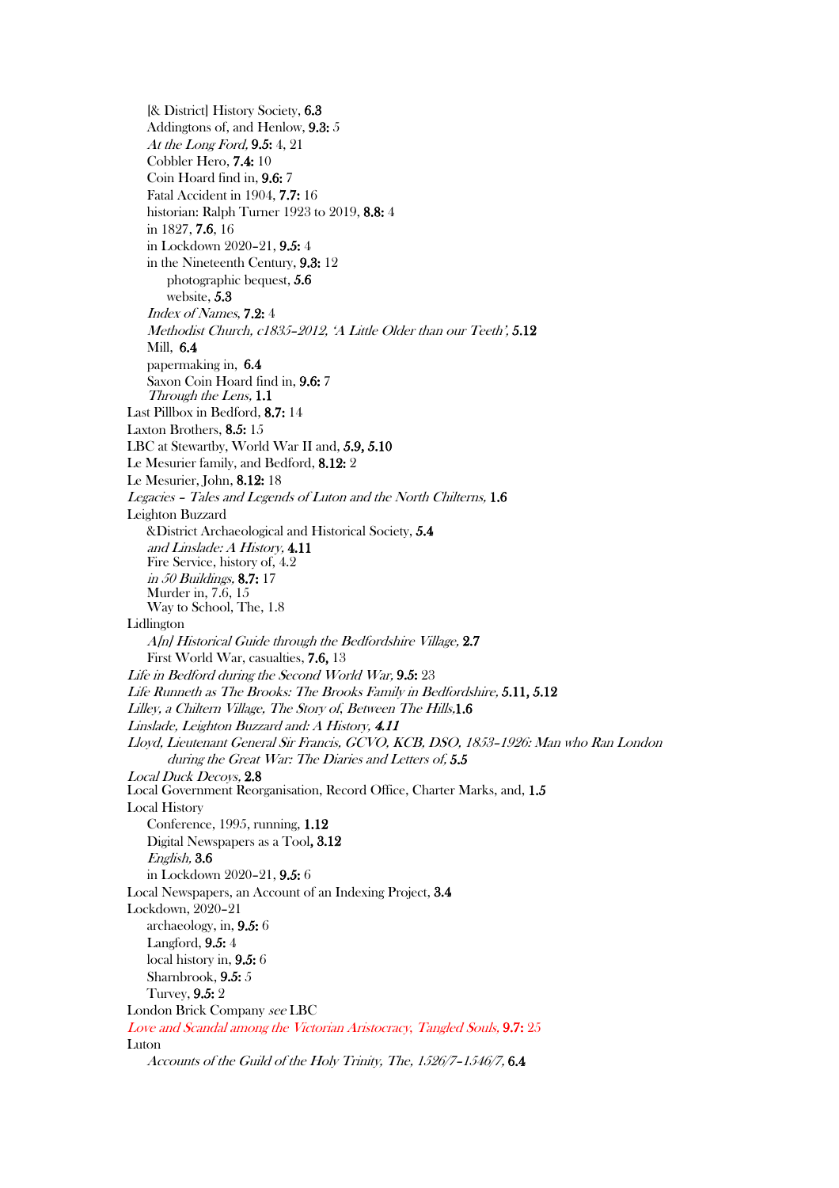[& District] History Society, 6.3 Addingtons of, and Henlow, 9.3: 5 At the Long Ford, 9.5: 4, 21 Cobbler Hero, 7.4: 10 Coin Hoard find in, 9.6: 7 Fatal Accident in 1904, 7.7: 16 historian: Ralph Turner 1923 to 2019, 8.8: 4 in 1827, 7.6, 16 in Lockdown 2020–21, 9.5: 4 in the Nineteenth Century, 9.3: 12 photographic bequest, 5.6 website, 5.3 Index of Names, 7.2: 4 Methodist Church, c1835–2012, 'A Little Older than our Teeth', 5.12 Mill, 6.4 papermaking in, 6.4 Saxon Coin Hoard find in, 9.6: 7 Through the Lens, 1.1 Last Pillbox in Bedford, 8.7: 14 Laxton Brothers, 8.5: 15 LBC at Stewartby, World War II and, 5.9, 5.10 Le Mesurier family, and Bedford, 8.12: 2 Le Mesurier, John, 8.12: 18 Legacies – Tales and Legends of Luton and the North Chilterns, 1.6 Leighton Buzzard &District Archaeological and Historical Society, 5.4 and Linslade: A History, 4.11 Fire Service, history of, 4.2 in 50 Buildings, 8.7: 17 Murder in, 7.6, 15 Way to School, The, 1.8 Lidlington A[n] Historical Guide through the Bedfordshire Village, 2.7 First World War, casualties, 7.6, 13 Life in Bedford during the Second World War, 9.5: 23 Life Runneth as The Brooks: The Brooks Family in Bedfordshire, 5.11, 5.12 Lilley, a Chiltern Village, The Story of, Between The Hills,1.6 Linslade, Leighton Buzzard and: A History, 4.11 Lloyd, Lieutenant General Sir Francis, GCVO, KCB, DSO, 1853–1926: Man who Ran London during the Great War: The Diaries and Letters of, 5.5 Local Duck Decoys, 2.8 Local Government Reorganisation, Record Office, Charter Marks, and, 1.5 Local History Conference, 1995, running, 1.12 Digital Newspapers as a Tool, 3.12 English, 3.6 in Lockdown 2020–21, 9.5: 6 Local Newspapers, an Account of an Indexing Project, 3.4 Lockdown, 2020–21 archaeology, in, 9.5: 6 Langford, 9.5: 4 local history in, 9.5: 6 Sharnbrook, 9.5: 5 Turvey, 9.5: 2 London Brick Company see LBC Love and Scandal among the Victorian Aristocracy, Tangled Souls, 9.7: 25 Luton Accounts of the Guild of the Holy Trinity, The, 1526/7–1546/7, 6.4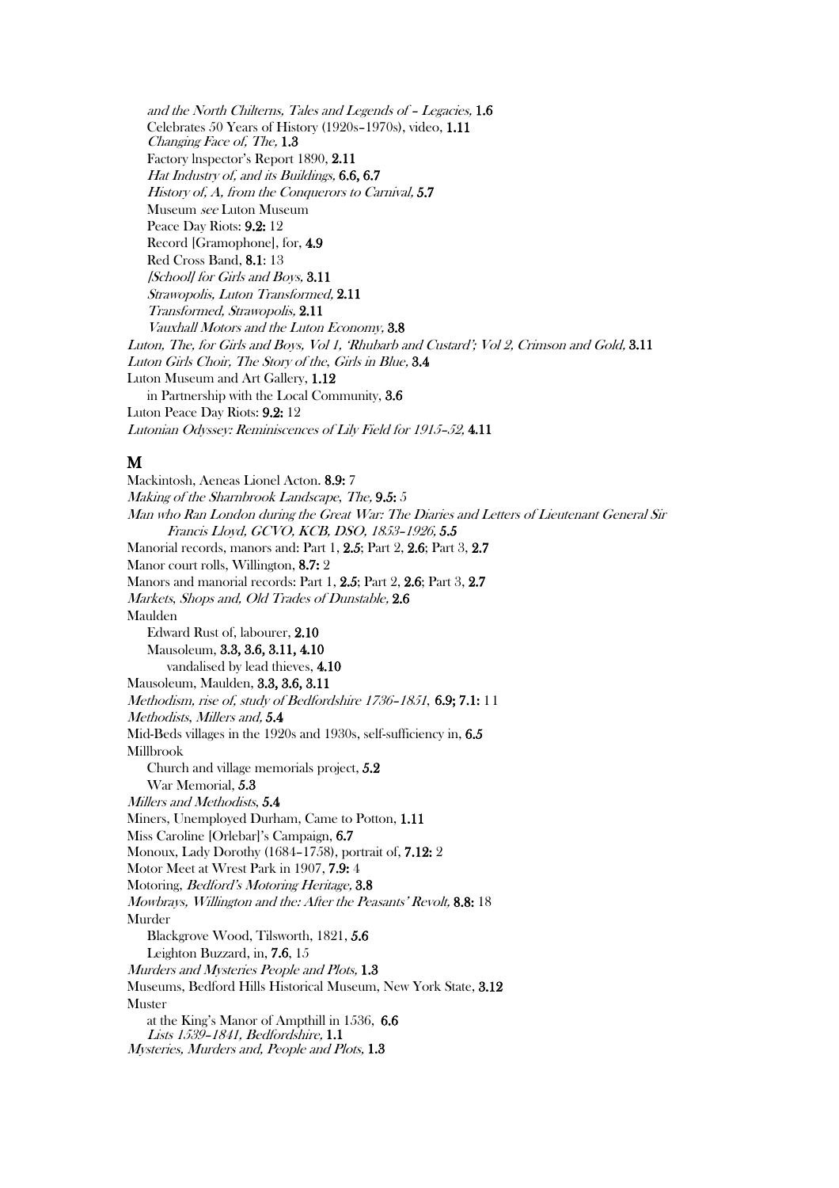and the North Chilterns, Tales and Legends of – Legacies, 1.6 Celebrates 50 Years of History (1920s–1970s), video, 1.11 Changing Face of, The, 1.3 Factory lnspector's Report 1890, 2.11 Hat Industry of, and its Buildings, 6.6, 6.7 History of, A, from the Conquerors to Carnival, 5.7 Museum see Luton Museum Peace Day Riots: 9.2: 12 Record [Gramophone], for, 4.9 Red Cross Band, 8.1: 13 [School] for Girls and Boys,  $3.11$ Strawopolis, Luton Transformed, 2.11 Transformed, Strawopolis, 2.11 Vauxhall Motors and the Luton Economy, 3.8 Luton, The, for Girls and Boys, Vol 1, 'Rhubarb and Custard'; Vol 2, Crimson and Gold, 3.11 Luton Girls Choir, The Story of the, Girls in Blue, 3.4 Luton Museum and Art Gallery, 1.12 in Partnership with the Local Community, 3.6 Luton Peace Day Riots: 9.2: 12 Lutonian Odyssey: Reminiscences of Lily Field for 1915–52, 4.11

#### M

Mackintosh, Aeneas Lionel Acton. 8.9: 7 Making of the Sharnbrook Landscape, The, 9.5: 5 Man who Ran London during the Great War: The Diaries and Letters of Lieutenant General Sir Francis Lloyd, GCVO, KCB, DSO, 1853–1926, 5.5 Manorial records, manors and: Part 1, 2.5; Part 2, 2.6; Part 3, 2.7 Manor court rolls, Willington, 8.7: 2 Manors and manorial records: Part 1, 2.5; Part 2, 2.6; Part 3, 2.7 Markets, Shops and, Old Trades of Dunstable, 2.6 Maulden Edward Rust of, labourer, 2.10 Mausoleum, 3.3, 3.6, 3.11, 4.10 vandalised by lead thieves, 4.10 Mausoleum, Maulden, 3.3, 3.6, 3.11 Methodism, rise of, study of Bedfordshire 1736–1851, 6.9; 7.1: 11 Methodists, Millers and, 5.4 Mid-Beds villages in the 1920s and 1930s, self-sufficiency in, 6.5 Millbrook Church and village memorials project, 5.2 War Memorial, 5.3 Millers and Methodists, 5.4 Miners, Unemployed Durham, Came to Potton, 1.11 Miss Caroline [Orlebar]'s Campaign, 6.7 Monoux, Lady Dorothy (1684–1758), portrait of, 7.12: 2 Motor Meet at Wrest Park in 1907, 7.9: 4 Motoring, Bedford's Motoring Heritage, 3.8 Mowbrays, Willington and the: After the Peasants' Revolt, 8.8: 18 Murder Blackgrove Wood, Tilsworth, 1821, 5.6 Leighton Buzzard, in, 7.6, 15 Murders and Mysteries People and Plots, 1.3 Museums, Bedford Hills Historical Museum, New York State, 3.12 Muster at the King's Manor of Ampthill in 1536, 6.6 Lists 1539–1841, Bedfordshire, 1.1 Mysteries, Murders and, People and Plots, 1.3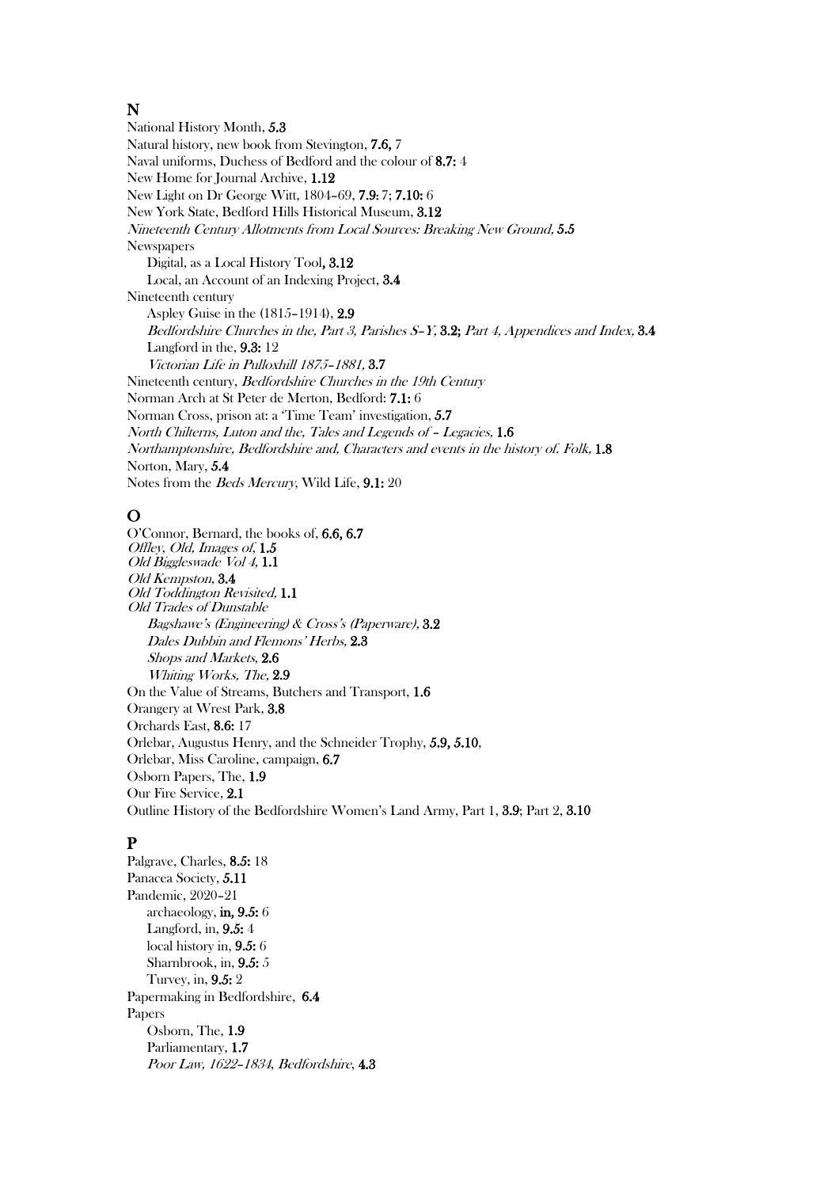#### N

National History Month, 5.3 Natural history, new book from Stevington, 7.6, 7 Naval uniforms, Duchess of Bedford and the colour of 8.7: 4 New Home for Journal Archive, 1.12 New Light on Dr George Witt, 1804–69, 7.9: 7; 7.10: 6 New York State, Bedford Hills Historical Museum, 3.12 Nineteenth Century Allotments from Local Sources: Breaking New Ground, 5.5 **Newspapers** Digital, as a Local History Tool, 3.12 Local, an Account of an Indexing Project, 3.4 Nineteenth century Aspley Guise in the (1815–1914), 2.9 Bedfordshire Churches in the, Part 3, Parishes S–Y, 3.2; Part 4, Appendices and Index, 3.4 Langford in the, 9.3: 12 Victorian Life in Pulloxhill 1875–1881, 3.7 Nineteenth century, Bedfordshire Churches in the 19th Century Norman Arch at St Peter de Merton, Bedford: 7.1: 6 Norman Cross, prison at: a 'Time Team' investigation, 5.7 North Chilterns, Luton and the, Tales and Legends of – Legacies, 1.6 Northamptonshire, Bedfordshire and, Characters and events in the history of. Folk, 1.8 Norton, Mary, 5.4 Notes from the Beds Mercury, Wild Life, 9.1: 20

### O

O'Connor, Bernard, the books of, 6.6, 6.7 Offley, Old, Images of, 1.5 Old Biggleswade Vol 4, 1.1 Old Kempston, 3.4 Old Toddington Revisited, 1.1 Old Trades of Dunstable Bagshawe's (Engineering) & Cross's (Paperware), 3.2 Dales Dubbin and Flemons' Herbs, 2.3 Shops and Markets, 2.6 Whiting Works, The, 2.9 On the Value of Streams, Butchers and Transport, 1.6 Orangery at Wrest Park, 3.8 Orchards East, 8.6: 17 Orlebar, Augustus Henry, and the Schneider Trophy, 5.9, 5.10, Orlebar, Miss Caroline, campaign, 6.7 Osborn Papers, The, 1.9 Our Fire Service, 2.1 Outline History of the Bedfordshire Women's Land Army, Part 1, 3.9; Part 2, 3.10

# P

Palgrave, Charles, 8.5: 18 Panacea Society, 5.11 Pandemic, 2020–21 archaeology, in, 9.5: 6 Langford, in, 9.5: 4 local history in, 9.5: 6 Sharnbrook, in, 9.5: 5 Turvey, in, 9.5: 2 Papermaking in Bedfordshire, 6.4 Papers Osborn, The, 1.9 Parliamentary, 1.7 Poor Law, 1622–1834, Bedfordshire, 4.3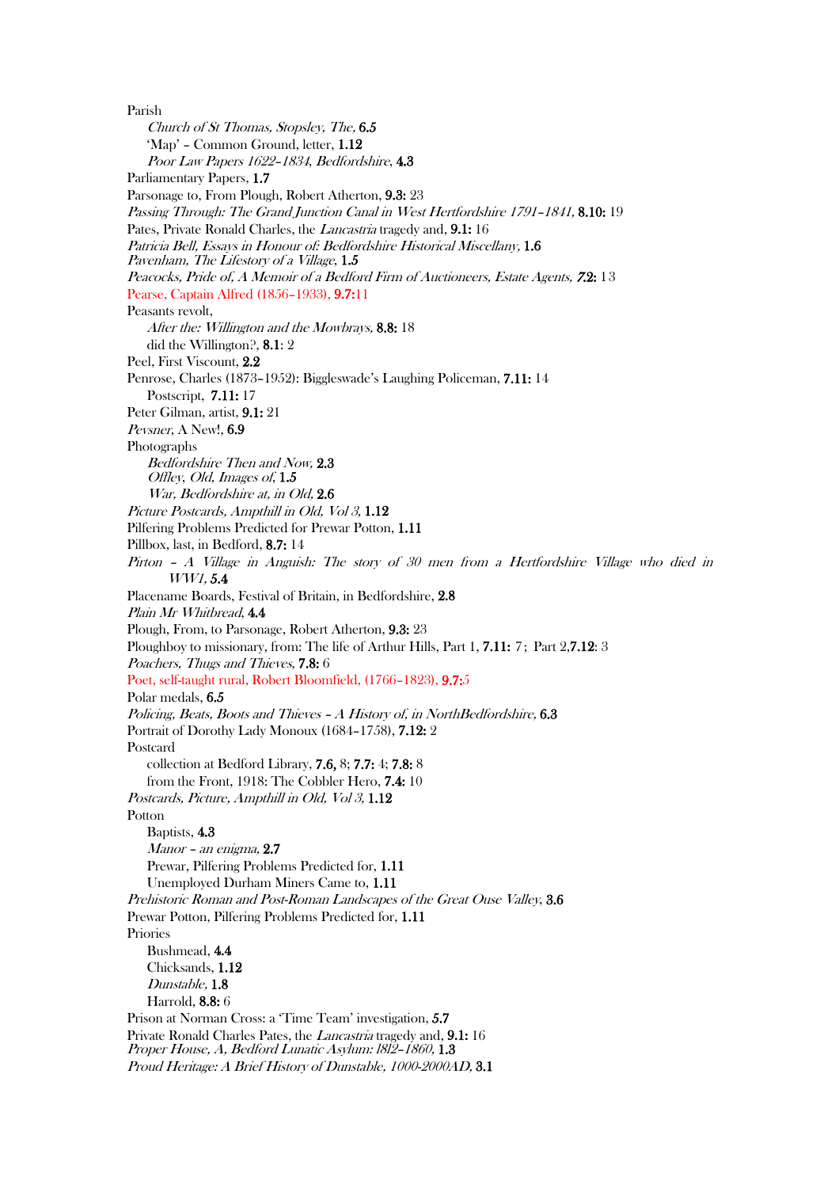Parish Church of St Thomas, Stopsley, The, 6.5 'Map' – Common Ground, letter, 1.12 Poor Law Papers 1622–1834, Bedfordshire, 4.3 Parliamentary Papers, 1.7 Parsonage to, From Plough, Robert Atherton, 9.3: 23 Passing Through: The Grand Junction Canal in West Hertfordshire 1791–1841, 8.10: 19 Pates, Private Ronald Charles, the Lancastria tragedy and, 9.1: 16 Patricia Bell, Essays in Honour of: Bedfordshire Historical Miscellany, 1.6 Pavenham, The Lifestory of a Village, 1.5 Peacocks, Pride of, A Memoir of a Bedford Firm of Auctioneers, Estate Agents, <sup>7</sup>.2: 13 Pearse, Captain Alfred (1856–1933), 9.7:11 Peasants revolt, After the: Willington and the Mowbrays, 8.8: 18 did the Willington?, 8.1: 2 Peel, First Viscount, 2.2 Penrose, Charles (1873–1952): Biggleswade's Laughing Policeman, 7.11: 14 Postscript, 7.11: 17 Peter Gilman, artist, 9.1: 21 Pevsner, A New!, 6.9 Photographs Bedfordshire Then and Now, 2.3 Offley, Old, Images of, 1.5 War, Bedfordshire at, in Old, 2.6 Picture Postcards, Ampthill in Old, Vol 3, 1.12 Pilfering Problems Predicted for Prewar Potton, 1.11 Pillbox, last, in Bedford, 8.7: 14 Pirton – A Village in Anguish: The story of 30 men from a Hertfordshire Village who died in WW1, 5.4 Placename Boards, Festival of Britain, in Bedfordshire, 2.8 Plain Mr Whitbread, 4.4 Plough, From, to Parsonage, Robert Atherton, 9.3: 23 Ploughboy to missionary, from: The life of Arthur Hills, Part 1, 7.11: 7; Part 2,7.12: 3 Poachers, Thugs and Thieves, 7.8: 6 Poet, self-taught rural, Robert Bloomfield, (1766–1823), 9.7:5 Polar medals, 6.5 Policing, Beats, Boots and Thieves - A History of, in NorthBedfordshire, 6.3 Portrait of Dorothy Lady Monoux (1684–1758), 7.12: 2 Postcard collection at Bedford Library, 7.6, 8; 7.7: 4; 7.8: 8 from the Front, 1918: The Cobbler Hero, 7.4: 10 Postcards, Picture, Ampthill in Old, Vol 3, 1.12 Potton Baptists, 4.3 Manor – an enigma, 2.7 Prewar, Pilfering Problems Predicted for, 1.11 Unemployed Durham Miners Came to, 1.11 Prehistoric Roman and Post-Roman Landscapes of the Great Ouse Valley, 3.6 Prewar Potton, Pilfering Problems Predicted for, 1.11 Priories Bushmead, 4.4 Chicksands, 1.12 Dunstable, 1.8 Harrold, 8.8: 6 Prison at Norman Cross: a 'Time Team' investigation, 5.7 Private Ronald Charles Pates, the Lancastria tragedy and, 9.1: 16 Proper House, A, Bedford Lunatic Asylum: 1812-1860, 1.3 Proud Heritage: A Brief History of Dunstable, 1000-2000AD, 3.1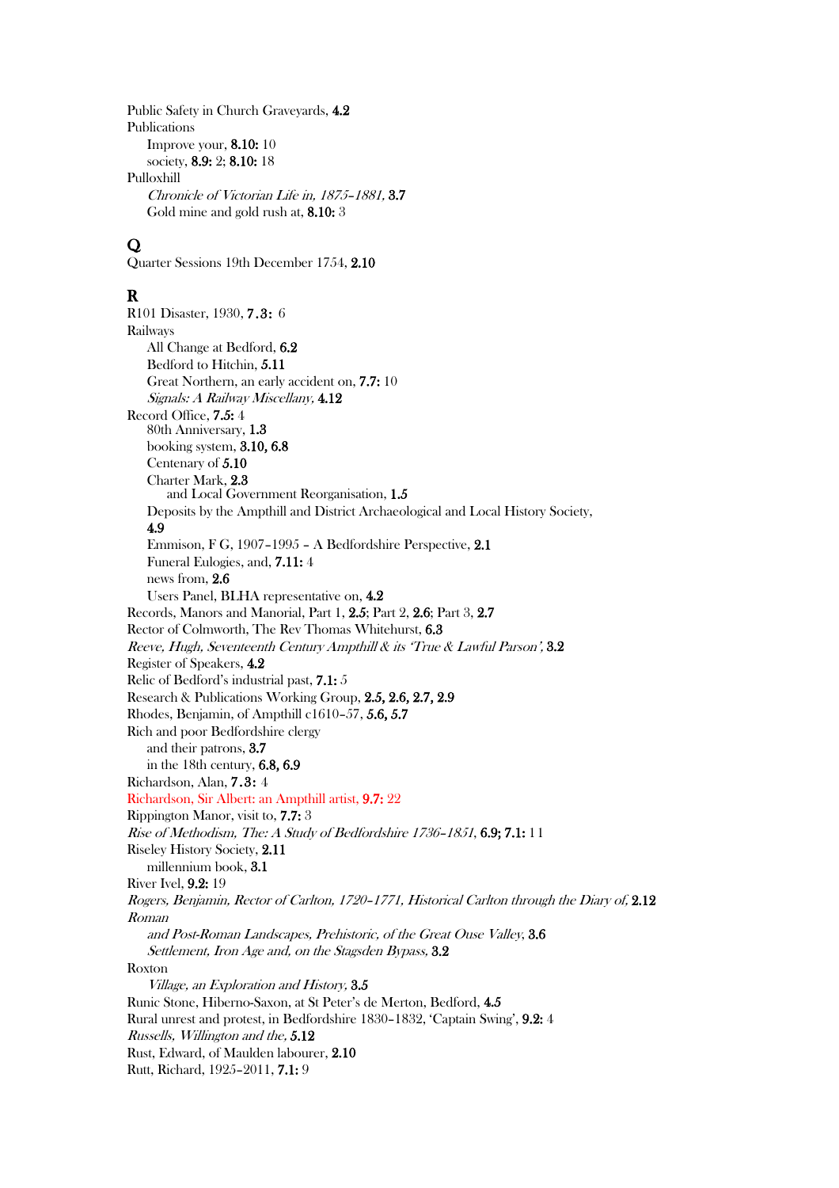Public Safety in Church Graveyards, 4.2 Publications Improve your, 8.10: 10 society, 8.9: 2; 8.10: 18 Pulloxhill Chronicle of Victorian Life in, 1875–1881, 3.7 Gold mine and gold rush at, 8.10: 3

# $\mathbf{O}$

Quarter Sessions 19th December 1754, 2.10

# R

R101 Disaster, 1930, 7.3: 6 Railways All Change at Bedford, 6.2 Bedford to Hitchin, 5.11 Great Northern, an early accident on, 7.7: 10 Signals: A Railway Miscellany, 4.12 Record Office, 7.5: 4 80th Anniversary, 1.3 booking system, 3.10, 6.8 Centenary of 5.10 Charter Mark, 2.3 and Local Government Reorganisation, 1.5 Deposits by the Ampthill and District Archaeological and Local History Society, 4.9 Emmison, F G, 1907–1995 – A Bedfordshire Perspective, 2.1 Funeral Eulogies, and, 7.11: 4 news from, 2.6 Users Panel, BLHA representative on, 4.2 Records, Manors and Manorial, Part 1, 2.5; Part 2, 2.6; Part 3, 2.7 Rector of Colmworth, The Rev Thomas Whitehurst, 6.3 Reeve, Hugh, Seventeenth Century Ampthill & its 'True & Lawful Parson', 3.2 Register of Speakers, 4.2 Relic of Bedford's industrial past, 7.1: 5 Research & Publications Working Group, 2.5, 2.6, 2.7, 2.9 Rhodes, Benjamin, of Ampthill c1610–57, 5.6, 5.7 Rich and poor Bedfordshire clergy and their patrons, 3.7 in the 18th century, 6.8, 6.9 Richardson, Alan, 7.3: 4 Richardson, Sir Albert: an Ampthill artist, 9.7: 22 Rippington Manor, visit to, 7.7: 3 Rise of Methodism, The: A Study of Bedfordshire 1736–1851, 6.9; 7.1: 11 Riseley History Society, 2.11 millennium book, 3.1 River Ivel, 9.2: 19 Rogers, Benjamin, Rector of Carlton, 1720–1771, Historical Carlton through the Diary of, 2.12 Roman and Post-Roman Landscapes, Prehistoric, of the Great Ouse Valley, 3.6 Settlement, Iron Age and, on the Stagsden Bypass,  $3.2$ Roxton Village, an Exploration and History, 3.5 Runic Stone, Hiberno-Saxon, at St Peter's de Merton, Bedford, 4.5 Rural unrest and protest, in Bedfordshire 1830–1832, 'Captain Swing', 9.2: 4 Russells, Willington and the, 5.12 Rust, Edward, of Maulden labourer, 2.10 Rutt, Richard, 1925–2011, 7.1: 9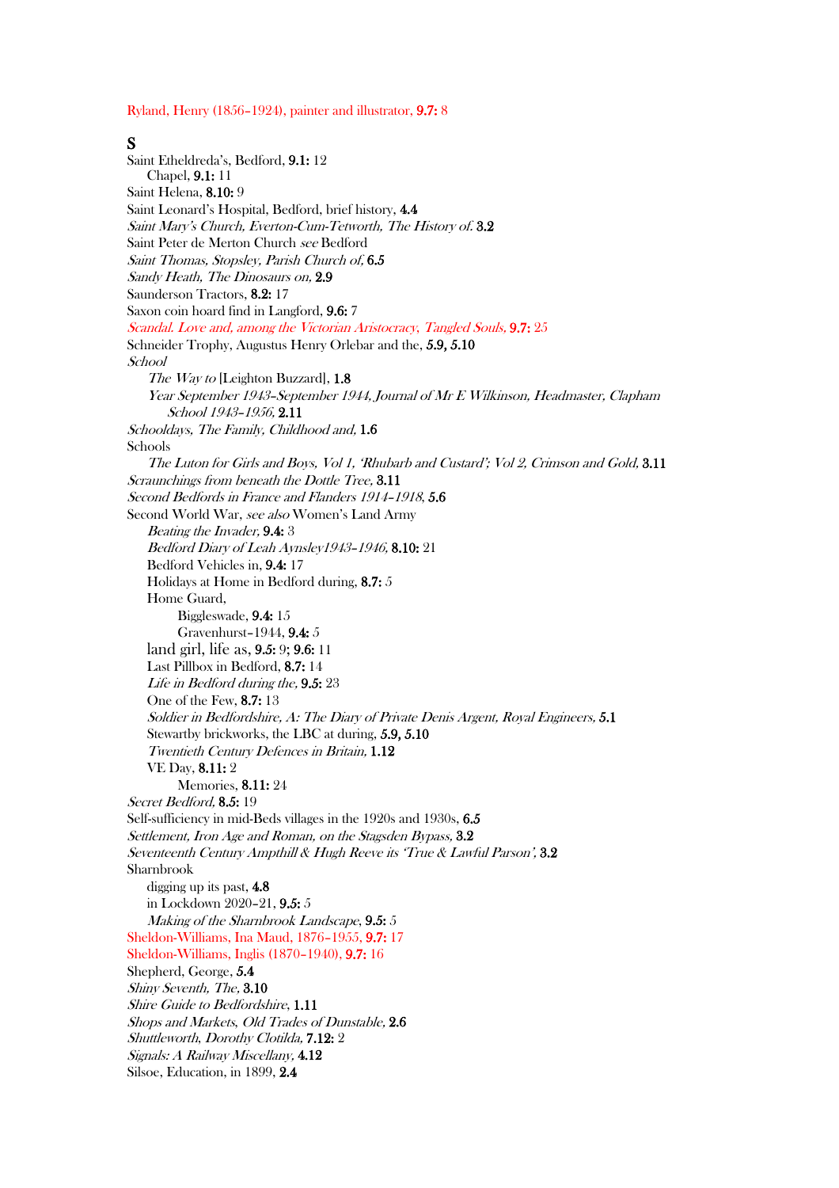Ryland, Henry (1856–1924), painter and illustrator, 9.7: 8

#### S

Saint Etheldreda's, Bedford, 9.1: 12 Chapel, 9.1: 11 Saint Helena, 8.10: 9 Saint Leonard's Hospital, Bedford, brief history, 4.4 Saint Mary's Church, Everton-Cum-Tetworth, The History of. 3.2 Saint Peter de Merton Church see Bedford Saint Thomas, Stopsley, Parish Church of, 6.5 Sandy Heath, The Dinosaurs on, 2.9 Saunderson Tractors, 8.2: 17 Saxon coin hoard find in Langford, 9.6: 7 Scandal. Love and, among the Victorian Aristocracy, Tangled Souls, 9.7: 25 Schneider Trophy, Augustus Henry Orlebar and the, 5.9, 5.10 School The Way to [Leighton Buzzard], 1.8 Year September 1943–September 1944, Journal of Mr E Wilkinson, Headmaster, Clapham School 1943–1956, 2.11 Schooldays, The Family, Childhood and, 1.6 Schools The Luton for Girls and Boys, Vol 1, 'Rhubarb and Custard'; Vol 2, Crimson and Gold, 3.11 Scraunchings from beneath the Dottle Tree, 3.11 Second Bedfords in France and Flanders 1914–1918, 5.6 Second World War, see also Women's Land Army Beating the Invader, 9.4: 3 Bedford Diary of Leah Aynsley1943–1946, 8.10: 21 Bedford Vehicles in, 9.4: 17 Holidays at Home in Bedford during, 8.7: 5 Home Guard, Biggleswade, 9.4: 15 Gravenhurst–1944, 9.4: 5 land girl, life as, 9.5: 9; 9.6: 11 Last Pillbox in Bedford, 8.7: 14 Life in Bedford during the, 9.5: 23 One of the Few, 8.7: 13 Soldier in Bedfordshire, A: The Diary of Private Denis Argent, Royal Engineers, 5.1 Stewartby brickworks, the LBC at during, 5.9, 5.10 Twentieth Century Defences in Britain, 1.12 VE Day, 8.11: 2 Memories, 8.11: 24 Secret Bedford, 8.5: 19 Self-sufficiency in mid-Beds villages in the 1920s and 1930s, 6.5 Settlement, Iron Age and Roman, on the Stagsden Bypass, 3.2 Seventeenth Century Ampthill & Hugh Reeve its 'True & Lawful Parson', 3.2 Sharnbrook digging up its past, 4.8 in Lockdown 2020–21, 9.5: 5 Making of the Sharnbrook Landscape, 9.5: 5 Sheldon-Williams, Ina Maud, 1876–1955, 9.7: 17 Sheldon-Williams, Inglis (1870–1940), 9.7: 16 Shepherd, George, 5.4 Shiny Seventh, The, 3.10 Shire Guide to Bedfordshire, 1.11 Shops and Markets, Old Trades of Dunstable, 2.6 Shuttleworth, Dorothy Clotilda, 7.12: 2 Signals: A Railway Miscellany, 4.12 Silsoe, Education, in 1899, 2.4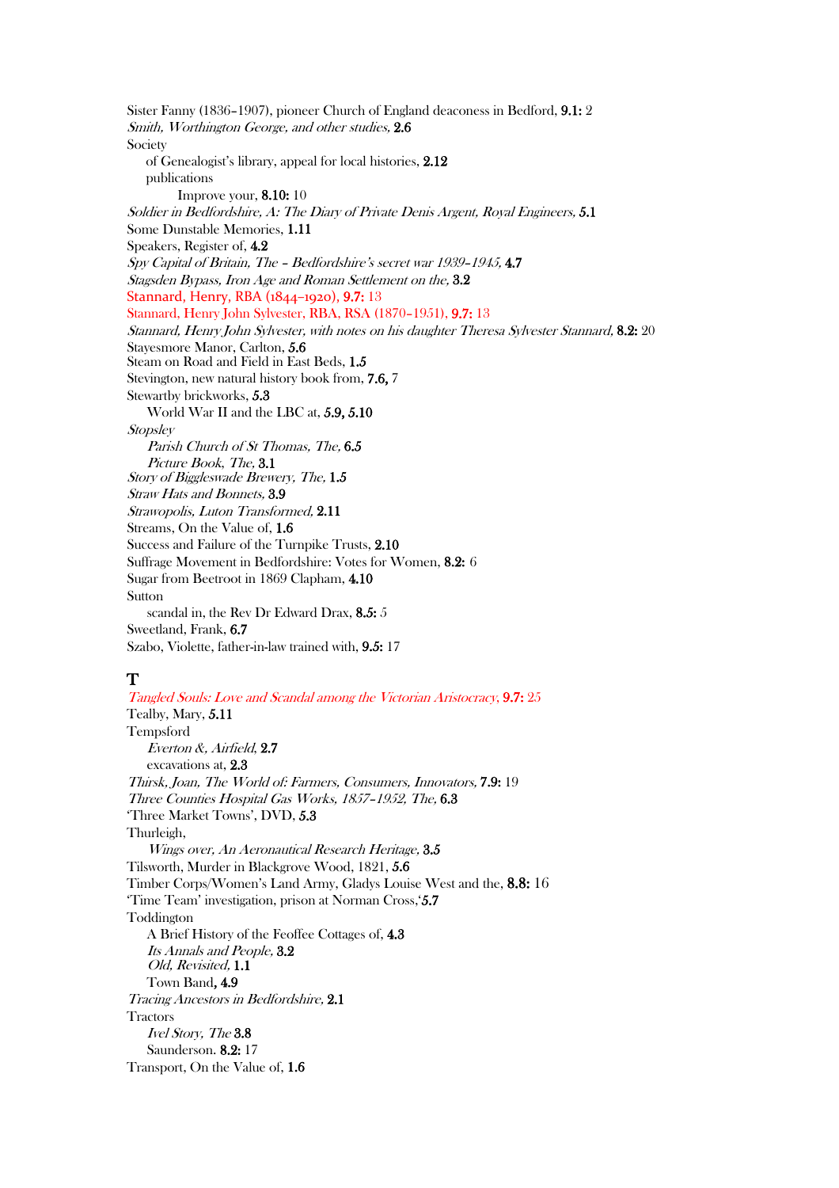Sister Fanny (1836–1907), pioneer Church of England deaconess in Bedford, 9.1: 2 Smith, Worthington George, and other studies, 2.6 Society of Genealogist's library, appeal for local histories, 2.12 publications Improve your, 8.10: 10 Soldier in Bedfordshire, A: The Diary of Private Denis Argent, Royal Engineers, 5.1 Some Dunstable Memories, 1.11 Speakers, Register of, 4.2 Spy Capital of Britain, The – Bedfordshire's secret war 1939–1945, 4.7 Stagsden Bypass, Iron Age and Roman Settlement on the, 3.2 Stannard, Henry, RBA (1844-1920), 9.7: 13 Stannard, Henry John Sylvester, RBA, RSA (1870–1951), 9.7: 13 Stannard, Henry John Sylvester, with notes on his daughter Theresa Sylvester Stannard, 8.2: 20 Stayesmore Manor, Carlton, 5.6 Steam on Road and Field in East Beds, 1.5 Stevington, new natural history book from, 7.6, 7 Stewartby brickworks, 5.3 World War II and the LBC at, 5.9, 5.10 **Stopsley** Parish Church of St Thomas, The, 6.5 Picture Book, The, 3.1 Story of Biggleswade Brewery, The, 1.5 Straw Hats and Bonnets, 3.9 Strawopolis, Luton Transformed, 2.11 Streams, On the Value of, 1.6 Success and Failure of the Turnpike Trusts, 2.10 Suffrage Movement in Bedfordshire: Votes for Women, 8.2: 6 Sugar from Beetroot in 1869 Clapham, 4.10 Sutton scandal in, the Rev Dr Edward Drax, 8.5: 5 Sweetland, Frank, 6.7 Szabo, Violette, father-in-law trained with, 9.5: 17

#### T

Tangled Souls: Love and Scandal among the Victorian Aristocracy, 9.7: 25 Tealby, Mary, 5.11 Tempsford Everton &, Airfield, 2.7 excavations at, 2.3 Thirsk, Joan, The World of: Farmers, Consumers, Innovators, 7.9: 19 Three Counties Hospital Gas Works, 1857–1952, The, 6.3 'Three Market Towns', DVD, 5.3 Thurleigh, Wings over, An Aeronautical Research Heritage, 3.5 Tilsworth, Murder in Blackgrove Wood, 1821, 5.6 Timber Corps/Women's Land Army, Gladys Louise West and the, 8.8: 16 'Time Team' investigation, prison at Norman Cross,'5.7 Toddington A Brief History of the Feoffee Cottages of, 4.3 Its Annals and People, 3.2 Old, Revisited, 1.1 Town Band, 4.9 Tracing Ancestors in Bedfordshire, 2.1 **Tractors** Ivel Story, The 3.8 Saunderson. 8.2: 17 Transport, On the Value of, 1.6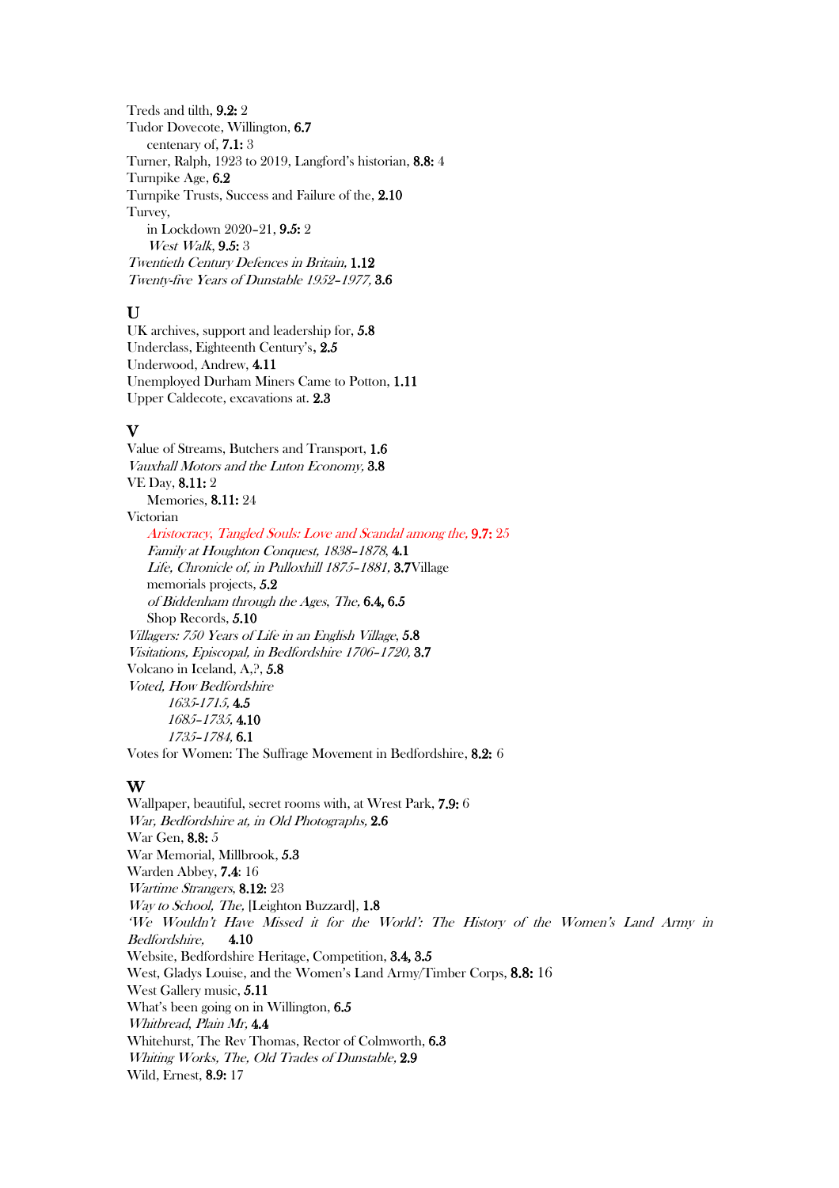Treds and tilth, 9.2: 2 Tudor Dovecote, Willington, 6.7 centenary of, 7.1: 3 Turner, Ralph, 1923 to 2019, Langford's historian, 8.8: 4 Turnpike Age, 6.2 Turnpike Trusts, Success and Failure of the, 2.10 Turvey, in Lockdown 2020–21, 9.5: 2 West Walk, **9.5:** 3 Twentieth Century Defences in Britain, 1.12 Twenty-five Years of Dunstable 1952–1977, 3.6

#### $\mathbf{U}$

UK archives, support and leadership for, 5.8 Underclass, Eighteenth Century's, 2.5 Underwood, Andrew, 4.11 Unemployed Durham Miners Came to Potton, 1.11 Upper Caldecote, excavations at. 2.3

#### V

Value of Streams, Butchers and Transport, 1.6 Vauxhall Motors and the Luton Economy, 3.8 VE Day, 8.11: 2 Memories, 8.11: 24 Victorian Aristocracy, Tangled Souls: Love and Scandal among the, 9.7: 25 Family at Houghton Conquest, 1838–1878, 4.1 Life, Chronicle of, in Pulloxhill 1875–1881, 3.7Village memorials projects, 5.2 of Biddenham through the Ages, The, 6.4, 6.5 Shop Records, 5.10 Villagers: 750 Years of Life in an English Village, 5.8 Visitations, Episcopal, in Bedfordshire 1706–1720, 3.7 Volcano in Iceland, A,?, 5.8 Voted, How Bedfordshire 1635-1715, 4.5 1685–1735, 4.10 1735–1784, 6.1 Votes for Women: The Suffrage Movement in Bedfordshire, 8.2: 6

W Wallpaper, beautiful, secret rooms with, at Wrest Park, 7.9: <sup>6</sup> War, Bedfordshire at, in Old Photographs, 2.6 War Gen, 8.8: 5 War Memorial, Millbrook, 5.3 Warden Abbey, 7.4: 16 Wartime Strangers, 8.12: 23 Way to School, The, [Leighton Buzzard], 1.8 'We Wouldn't Have Missed it for the World': The History of the Women's Land Army in Bedfordshire, 4.10 Website, Bedfordshire Heritage, Competition, 3.4, 3.5 West, Gladys Louise, and the Women's Land Army/Timber Corps, 8.8: 16 West Gallery music, 5.11 What's been going on in Willington, 6.5 Whitbread, Plain Mr, 4.4 Whitehurst, The Rev Thomas, Rector of Colmworth, 6.3 Whiting Works, The, Old Trades of Dunstable, 2.9 Wild, Ernest, 8.9: 17